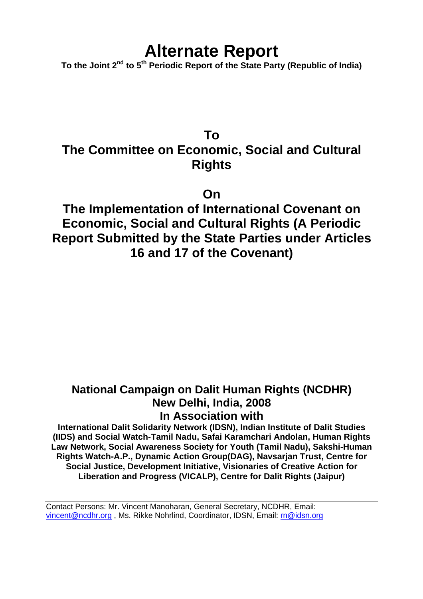# **Alternate Report**

**To the Joint 2nd to 5th Periodic Report of the State Party (Republic of India)** 

## **To The Committee on Economic, Social and Cultural Rights**

**On** 

**The Implementation of International Covenant on Economic, Social and Cultural Rights (A Periodic Report Submitted by the State Parties under Articles 16 and 17 of the Covenant)** 

## **National Campaign on Dalit Human Rights (NCDHR) New Delhi, India, 2008 In Association with**

**International Dalit Solidarity Network (IDSN), Indian Institute of Dalit Studies (IIDS) and Social Watch-Tamil Nadu, Safai Karamchari Andolan, Human Rights Law Network, Social Awareness Society for Youth (Tamil Nadu), Sakshi-Human Rights Watch-A.P., Dynamic Action Group(DAG), Navsarjan Trust, Centre for Social Justice, Development Initiative, Visionaries of Creative Action for Liberation and Progress (VICALP), Centre for Dalit Rights (Jaipur)** 

Contact Persons: Mr. Vincent Manoharan, General Secretary, NCDHR, Email: vincent@ncdhr.org , Ms. Rikke Nohrlind, Coordinator, IDSN, Email: rn@idsn.org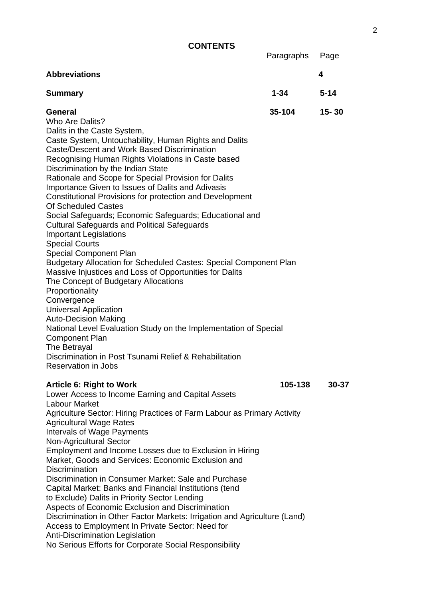**CONTENTS** 

 Paragraphs Page **Abbreviations 4 Summary 1-34 5-14 General 35-104 15- 30**  Who Are Dalits? Dalits in the Caste System, Caste System, Untouchability, Human Rights and Dalits Caste/Descent and Work Based Discrimination Recognising Human Rights Violations in Caste based Discrimination by the Indian State Rationale and Scope for Special Provision for Dalits Importance Given to Issues of Dalits and Adivasis Constitutional Provisions for protection and Development Of Scheduled Castes Social Safeguards; Economic Safeguards; Educational and Cultural Safeguards and Political Safeguards Important Legislations Special Courts Special Component Plan Budgetary Allocation for Scheduled Castes: Special Component Plan Massive Injustices and Loss of Opportunities for Dalits The Concept of Budgetary Allocations Proportionality **Convergence** Universal Application Auto-Decision Making National Level Evaluation Study on the Implementation of Special Component Plan The Betrayal

Discrimination in Post Tsunami Relief & Rehabilitation Reservation in Jobs

#### **Article 6: Right to Work 105-138 30-37**

Lower Access to Income Earning and Capital Assets Labour Market Agriculture Sector: Hiring Practices of Farm Labour as Primary Activity Agricultural Wage Rates Intervals of Wage Payments Non-Agricultural Sector Employment and Income Losses due to Exclusion in Hiring Market, Goods and Services: Economic Exclusion and **Discrimination** Discrimination in Consumer Market: Sale and Purchase Capital Market: Banks and Financial Institutions (tend to Exclude) Dalits in Priority Sector Lending Aspects of Economic Exclusion and Discrimination Discrimination in Other Factor Markets: Irrigation and Agriculture (Land) Access to Employment In Private Sector: Need for Anti-Discrimination Legislation No Serious Efforts for Corporate Social Responsibility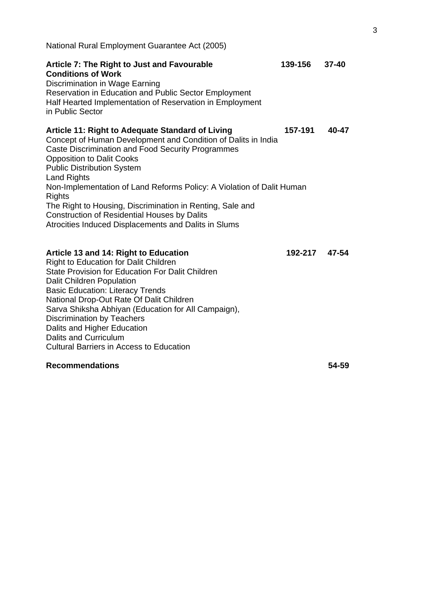| National Rural Employment Guarantee Act (2005)                                                                                                                                                                                                                                                                                                                                                                                                                                                                                                            |         |           |
|-----------------------------------------------------------------------------------------------------------------------------------------------------------------------------------------------------------------------------------------------------------------------------------------------------------------------------------------------------------------------------------------------------------------------------------------------------------------------------------------------------------------------------------------------------------|---------|-----------|
| Article 7: The Right to Just and Favourable<br><b>Conditions of Work</b><br>Discrimination in Wage Earning<br>Reservation in Education and Public Sector Employment<br>Half Hearted Implementation of Reservation in Employment<br>in Public Sector                                                                                                                                                                                                                                                                                                       | 139-156 | $37 - 40$ |
| <b>Article 11: Right to Adequate Standard of Living</b><br>Concept of Human Development and Condition of Dalits in India<br><b>Caste Discrimination and Food Security Programmes</b><br><b>Opposition to Dalit Cooks</b><br><b>Public Distribution System</b><br><b>Land Rights</b><br>Non-Implementation of Land Reforms Policy: A Violation of Dalit Human<br><b>Rights</b><br>The Right to Housing, Discrimination in Renting, Sale and<br><b>Construction of Residential Houses by Dalits</b><br>Atrocities Induced Displacements and Dalits in Slums | 157-191 | 40-47     |
| Article 13 and 14: Right to Education<br><b>Right to Education for Dalit Children</b><br><b>State Provision for Education For Dalit Children</b><br><b>Dalit Children Population</b><br><b>Basic Education: Literacy Trends</b><br>National Drop-Out Rate Of Dalit Children<br>Sarva Shiksha Abhiyan (Education for All Campaign),<br><b>Discrimination by Teachers</b><br>Dalits and Higher Education<br><b>Dalits and Curriculum</b><br><b>Cultural Barriers in Access to Education</b>                                                                 | 192-217 | 47-54     |

## **Recommendations 54-59**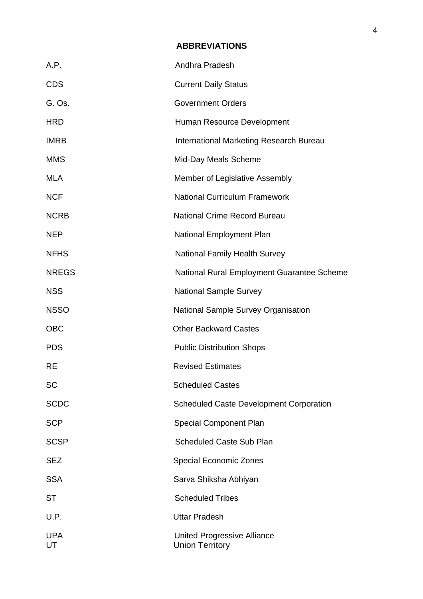## **ABBREVIATIONS**

| A.P.             | Andhra Pradesh                                               |
|------------------|--------------------------------------------------------------|
| <b>CDS</b>       | <b>Current Daily Status</b>                                  |
| G. Os.           | <b>Government Orders</b>                                     |
| <b>HRD</b>       | Human Resource Development                                   |
| <b>IMRB</b>      | International Marketing Research Bureau                      |
| <b>MMS</b>       | Mid-Day Meals Scheme                                         |
| <b>MLA</b>       | Member of Legislative Assembly                               |
| <b>NCF</b>       | <b>National Curriculum Framework</b>                         |
| <b>NCRB</b>      | <b>National Crime Record Bureau</b>                          |
| <b>NEP</b>       | <b>National Employment Plan</b>                              |
| <b>NFHS</b>      | <b>National Family Health Survey</b>                         |
| <b>NREGS</b>     | National Rural Employment Guarantee Scheme                   |
| <b>NSS</b>       | <b>National Sample Survey</b>                                |
| <b>NSSO</b>      | <b>National Sample Survey Organisation</b>                   |
| <b>OBC</b>       | <b>Other Backward Castes</b>                                 |
| <b>PDS</b>       | <b>Public Distribution Shops</b>                             |
| <b>RE</b>        | <b>Revised Estimates</b>                                     |
| <b>SC</b>        | <b>Scheduled Castes</b>                                      |
| <b>SCDC</b>      | <b>Scheduled Caste Development Corporation</b>               |
| <b>SCP</b>       | <b>Special Component Plan</b>                                |
| <b>SCSP</b>      | <b>Scheduled Caste Sub Plan</b>                              |
| <b>SEZ</b>       | <b>Special Economic Zones</b>                                |
| <b>SSA</b>       | Sarva Shiksha Abhiyan                                        |
| <b>ST</b>        | <b>Scheduled Tribes</b>                                      |
| U.P.             | <b>Uttar Pradesh</b>                                         |
| <b>UPA</b><br>UT | <b>United Progressive Alliance</b><br><b>Union Territory</b> |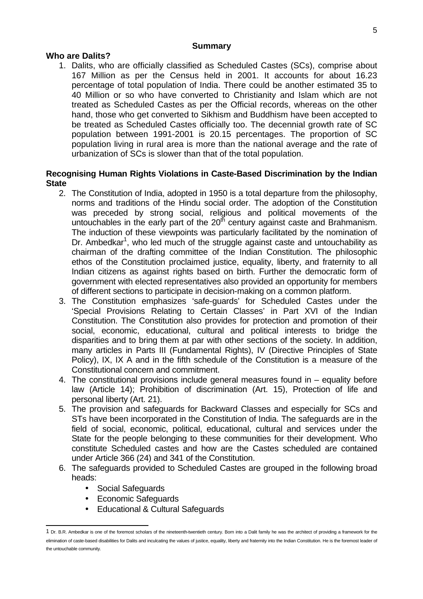#### **Summary**

## **Who are Dalits?**

1. Dalits, who are officially classified as Scheduled Castes (SCs), comprise about 167 Million as per the Census held in 2001. It accounts for about 16.23 percentage of total population of India. There could be another estimated 35 to 40 Million or so who have converted to Christianity and Islam which are not treated as Scheduled Castes as per the Official records, whereas on the other hand, those who get converted to Sikhism and Buddhism have been accepted to be treated as Scheduled Castes officially too. The decennial growth rate of SC population between 1991-2001 is 20.15 percentages. The proportion of SC population living in rural area is more than the national average and the rate of urbanization of SCs is slower than that of the total population.

## **Recognising Human Rights Violations in Caste-Based Discrimination by the Indian State**

- 2. The Constitution of India, adopted in 1950 is a total departure from the philosophy, norms and traditions of the Hindu social order. The adoption of the Constitution was preceded by strong social, religious and political movements of the untouchables in the early part of the  $20<sup>th</sup>$  century against caste and Brahmanism. The induction of these viewpoints was particularly facilitated by the nomination of Dr. Ambedkar<sup>1</sup>, who led much of the struggle against caste and untouchability as chairman of the drafting committee of the Indian Constitution. The philosophic ethos of the Constitution proclaimed justice, equality, liberty, and fraternity to all Indian citizens as against rights based on birth. Further the democratic form of government with elected representatives also provided an opportunity for members of different sections to participate in decision-making on a common platform.
- 3. The Constitution emphasizes 'safe-guards' for Scheduled Castes under the 'Special Provisions Relating to Certain Classes' in Part XVI of the Indian Constitution. The Constitution also provides for protection and promotion of their social, economic, educational, cultural and political interests to bridge the disparities and to bring them at par with other sections of the society. In addition, many articles in Parts III (Fundamental Rights), IV (Directive Principles of State Policy), IX, IX A and in the fifth schedule of the Constitution is a measure of the Constitutional concern and commitment.
- 4. The constitutional provisions include general measures found in equality before law (Article 14); Prohibition of discrimination (Art. 15), Protection of life and personal liberty (Art. 21).
- 5. The provision and safeguards for Backward Classes and especially for SCs and STs have been incorporated in the Constitution of India. The safeguards are in the field of social, economic, political, educational, cultural and services under the State for the people belonging to these communities for their development. Who constitute Scheduled castes and how are the Castes scheduled are contained under Article 366 (24) and 341 of the Constitution.
- 6. The safeguards provided to Scheduled Castes are grouped in the following broad heads:
	- Social Safeguards
	- Economic Safeguards
	- Educational & Cultural Safeguards

 $\overline{a}$ 1 Dr. B.R. Ambedkar is one of the foremost scholars of the nineteenth-twentieth century. Born into a Dalit family he was the architect of providing a framework for the elimination of caste-based disabilities for Dalits and inculcating the values of justice, equality, liberty and fraternity into the Indian Constitution. He is the foremost leader of the untouchable community.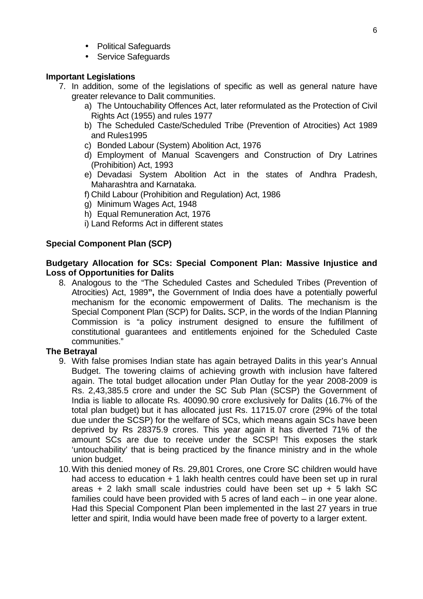- Political Safeguards
- Service Safeguards

## **Important Legislations**

- 7. In addition, some of the legislations of specific as well as general nature have greater relevance to Dalit communities.
	- a) The Untouchability Offences Act, later reformulated as the Protection of Civil Rights Act (1955) and rules 1977
	- b) The Scheduled Caste/Scheduled Tribe (Prevention of Atrocities) Act 1989 and Rules1995
	- c) Bonded Labour (System) Abolition Act, 1976
	- d) Employment of Manual Scavengers and Construction of Dry Latrines (Prohibition) Act, 1993
	- e) Devadasi System Abolition Act in the states of Andhra Pradesh, Maharashtra and Karnataka.
	- f) Child Labour (Prohibition and Regulation) Act, 1986
	- g) Minimum Wages Act, 1948
	- h) Equal Remuneration Act, 1976
	- i) Land Reforms Act in different states

## **Special Component Plan (SCP)**

#### **Budgetary Allocation for SCs: Special Component Plan: Massive Injustice and Loss of Opportunities for Dalits**

8. Analogous to the "The Scheduled Castes and Scheduled Tribes (Prevention of Atrocities) Act, 1989**",** the Government of India does have a potentially powerful mechanism for the economic empowerment of Dalits. The mechanism is the Special Component Plan (SCP) for Dalits**.** SCP, in the words of the Indian Planning Commission is "a policy instrument designed to ensure the fulfillment of constitutional guarantees and entitlements enjoined for the Scheduled Caste communities."

## **The Betrayal**

- 9. With false promises Indian state has again betrayed Dalits in this year's Annual Budget. The towering claims of achieving growth with inclusion have faltered again. The total budget allocation under Plan Outlay for the year 2008-2009 is Rs. 2,43,385.5 crore and under the SC Sub Plan (SCSP) the Government of India is liable to allocate Rs. 40090.90 crore exclusively for Dalits (16.7% of the total plan budget) but it has allocated just Rs. 11715.07 crore (29% of the total due under the SCSP) for the welfare of SCs, which means again SCs have been deprived by Rs 28375.9 crores. This year again it has diverted 71% of the amount SCs are due to receive under the SCSP! This exposes the stark 'untouchability' that is being practiced by the finance ministry and in the whole union budget.
- 10. With this denied money of Rs. 29,801 Crores, one Crore SC children would have had access to education + 1 lakh health centres could have been set up in rural areas + 2 lakh small scale industries could have been set up + 5 lakh SC families could have been provided with 5 acres of land each – in one year alone. Had this Special Component Plan been implemented in the last 27 years in true letter and spirit, India would have been made free of poverty to a larger extent.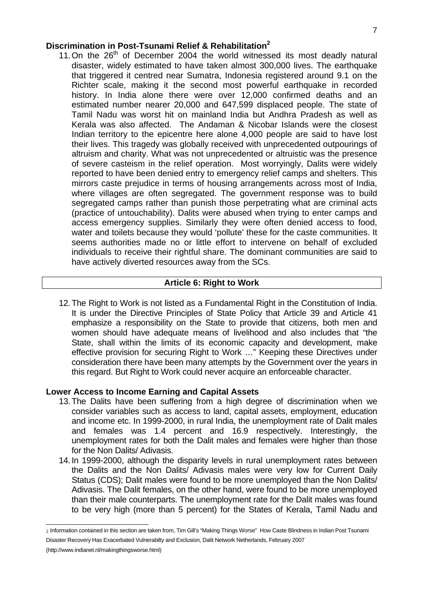## **Discrimination in Post-Tsunami Relief & Rehabilitation<sup>2</sup>**

11. On the  $26<sup>th</sup>$  of December 2004 the world witnessed its most deadly natural disaster, widely estimated to have taken almost 300,000 lives. The earthquake that triggered it centred near Sumatra, Indonesia registered around 9.1 on the Richter scale, making it the second most powerful earthquake in recorded history. In India alone there were over 12,000 confirmed deaths and an estimated number nearer 20,000 and 647,599 displaced people. The state of Tamil Nadu was worst hit on mainland India but Andhra Pradesh as well as Kerala was also affected. The Andaman & Nicobar Islands were the closest Indian territory to the epicentre here alone 4,000 people are said to have lost their lives. This tragedy was globally received with unprecedented outpourings of altruism and charity. What was not unprecedented or altruistic was the presence of severe casteism in the relief operation. Most worryingly, Dalits were widely reported to have been denied entry to emergency relief camps and shelters. This mirrors caste prejudice in terms of housing arrangements across most of India, where villages are often segregated. The government response was to build segregated camps rather than punish those perpetrating what are criminal acts (practice of untouchability). Dalits were abused when trying to enter camps and access emergency supplies. Similarly they were often denied access to food, water and toilets because they would 'pollute' these for the caste communities. It seems authorities made no or little effort to intervene on behalf of excluded individuals to receive their rightful share. The dominant communities are said to have actively diverted resources away from the SCs.

#### **Article 6: Right to Work**

12. The Right to Work is not listed as a Fundamental Right in the Constitution of India. It is under the Directive Principles of State Policy that Article 39 and Article 41 emphasize a responsibility on the State to provide that citizens, both men and women should have adequate means of livelihood and also includes that "the State, shall within the limits of its economic capacity and development, make effective provision for securing Right to Work …" Keeping these Directives under consideration there have been many attempts by the Government over the years in this regard. But Right to Work could never acquire an enforceable character.

#### **Lower Access to Income Earning and Capital Assets**

- 13. The Dalits have been suffering from a high degree of discrimination when we consider variables such as access to land, capital assets, employment, education and income etc. In 1999-2000, in rural India, the unemployment rate of Dalit males and females was 1.4 percent and 16.9 respectively. Interestingly, the unemployment rates for both the Dalit males and females were higher than those for the Non Dalits/ Adivasis.
- 14. In 1999-2000, although the disparity levels in rural unemployment rates between the Dalits and the Non Dalits/ Adivasis males were very low for Current Daily Status (CDS); Dalit males were found to be more unemployed than the Non Dalits/ Adivasis. The Dalit females, on the other hand, were found to be more unemployed than their male counterparts. The unemployment rate for the Dalit males was found to be very high (more than 5 percent) for the States of Kerala, Tamil Nadu and

 $\overline{a}$ 2 Information contained in this section are taken from, Tim Gill's "Making Things Worse" How Caste Blindness in Indian Post Tsunami Disaster Recovery Has Exacerbated Vulnerabilty and Exclusion, Dalit Network Netherlands, February 2007

<sup>(</sup>http://www.indianet.nl/makingthingsworse.html)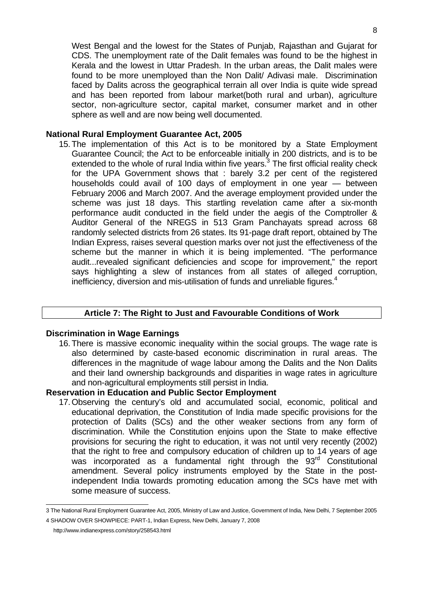West Bengal and the lowest for the States of Punjab, Rajasthan and Gujarat for CDS. The unemployment rate of the Dalit females was found to be the highest in Kerala and the lowest in Uttar Pradesh. In the urban areas, the Dalit males were found to be more unemployed than the Non Dalit/ Adivasi male. Discrimination faced by Dalits across the geographical terrain all over India is quite wide spread and has been reported from labour market(both rural and urban), agriculture sector, non-agriculture sector, capital market, consumer market and in other sphere as well and are now being well documented.

#### **National Rural Employment Guarantee Act, 2005**

15. The implementation of this Act is to be monitored by a State Employment Guarantee Council; the Act to be enforceable initially in 200 districts, and is to be extended to the whole of rural India within five years.<sup>3</sup> The first official reality check for the UPA Government shows that : barely 3.2 per cent of the registered households could avail of 100 days of employment in one year — between February 2006 and March 2007. And the average employment provided under the scheme was just 18 days. This startling revelation came after a six-month performance audit conducted in the field under the aegis of the Comptroller & Auditor General of the NREGS in 513 Gram Panchayats spread across 68 randomly selected districts from 26 states. Its 91-page draft report, obtained by The Indian Express, raises several question marks over not just the effectiveness of the scheme but the manner in which it is being implemented. "The performance audit...revealed significant deficiencies and scope for improvement," the report says highlighting a slew of instances from all states of alleged corruption, inefficiency, diversion and mis-utilisation of funds and unreliable figures.<sup>4</sup>

## **Article 7: The Right to Just and Favourable Conditions of Work**

#### **Discrimination in Wage Earnings**

16. There is massive economic inequality within the social groups. The wage rate is also determined by caste-based economic discrimination in rural areas. The differences in the magnitude of wage labour among the Dalits and the Non Dalits and their land ownership backgrounds and disparities in wage rates in agriculture and non-agricultural employments still persist in India.

#### **Reservation in Education and Public Sector Employment**

17. Observing the century's old and accumulated social, economic, political and educational deprivation, the Constitution of India made specific provisions for the protection of Dalits (SCs) and the other weaker sections from any form of discrimination. While the Constitution enjoins upon the State to make effective provisions for securing the right to education, it was not until very recently (2002) that the right to free and compulsory education of children up to 14 years of age was incorporated as a fundamental right through the 93<sup>rd</sup> Constitutional amendment. Several policy instruments employed by the State in the postindependent India towards promoting education among the SCs have met with some measure of success.

http://www.indianexpress.com/story/258543.html

 3 The National Rural Employment Guarantee Act, 2005, Ministry of Law and Justice, Government of India, New Delhi, 7 September 2005 4 SHADOW OVER SHOWPIECE: PART-1, Indian Express, New Delhi, January 7, 2008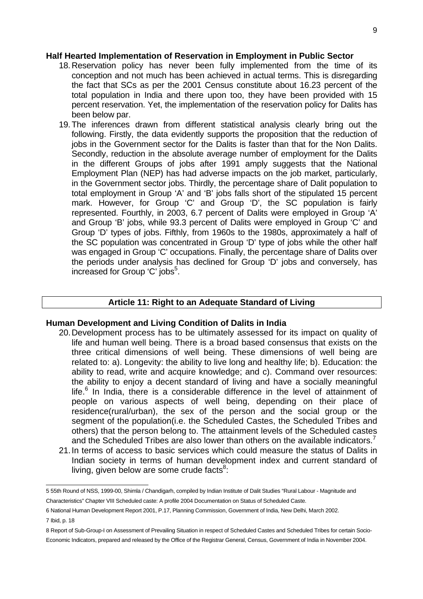#### **Half Hearted Implementation of Reservation in Employment in Public Sector**

- 18. Reservation policy has never been fully implemented from the time of its conception and not much has been achieved in actual terms. This is disregarding the fact that SCs as per the 2001 Census constitute about 16.23 percent of the total population in India and there upon too, they have been provided with 15 percent reservation. Yet, the implementation of the reservation policy for Dalits has been below par.
- 19. The inferences drawn from different statistical analysis clearly bring out the following. Firstly, the data evidently supports the proposition that the reduction of jobs in the Government sector for the Dalits is faster than that for the Non Dalits. Secondly, reduction in the absolute average number of employment for the Dalits in the different Groups of jobs after 1991 amply suggests that the National Employment Plan (NEP) has had adverse impacts on the job market, particularly, in the Government sector jobs. Thirdly, the percentage share of Dalit population to total employment in Group 'A' and 'B' jobs falls short of the stipulated 15 percent mark. However, for Group 'C' and Group 'D', the SC population is fairly represented. Fourthly, in 2003, 6.7 percent of Dalits were employed in Group 'A' and Group 'B' jobs, while 93.3 percent of Dalits were employed in Group 'C' and Group 'D' types of jobs. Fifthly, from 1960s to the 1980s, approximately a half of the SC population was concentrated in Group 'D' type of jobs while the other half was engaged in Group 'C' occupations. Finally, the percentage share of Dalits over the periods under analysis has declined for Group 'D' jobs and conversely, has increased for Group 'C' jobs<sup>5</sup>.

#### **Article 11: Right to an Adequate Standard of Living**

#### **Human Development and Living Condition of Dalits in India**

- 20. Development process has to be ultimately assessed for its impact on quality of life and human well being. There is a broad based consensus that exists on the three critical dimensions of well being. These dimensions of well being are related to: a). Longevity: the ability to live long and healthy life; b). Education: the ability to read, write and acquire knowledge; and c). Command over resources: the ability to enjoy a decent standard of living and have a socially meaningful life.<sup>6</sup> In India, there is a considerable difference in the level of attainment of people on various aspects of well being, depending on their place of residence(rural/urban), the sex of the person and the social group or the segment of the population(i.e. the Scheduled Castes, the Scheduled Tribes and others) that the person belong to. The attainment levels of the Scheduled castes and the Scheduled Tribes are also lower than others on the available indicators.<sup>7</sup>
- 21. In terms of access to basic services which could measure the status of Dalits in Indian society in terms of human development index and current standard of living, given below are some crude facts $8$ :

 5 55th Round of NSS, 1999-00, Shimla / Chandigarh, compiled by Indian Institute of Dalit Studies "Rural Labour - Magnitude and Characteristics" Chapter VIII Scheduled caste: A profile 2004 Documentation on Status of Scheduled Caste.

<sup>6</sup> National Human Development Report 2001, P.17, Planning Commission, Government of India, New Delhi, March 2002.

<sup>7</sup> Ibid, p. 18

<sup>8</sup> Report of Sub-Group-I on Assessment of Prevailing Situation in respect of Scheduled Castes and Scheduled Tribes for certain Socio-Economic Indicators, prepared and released by the Office of the Registrar General, Census, Government of India in November 2004.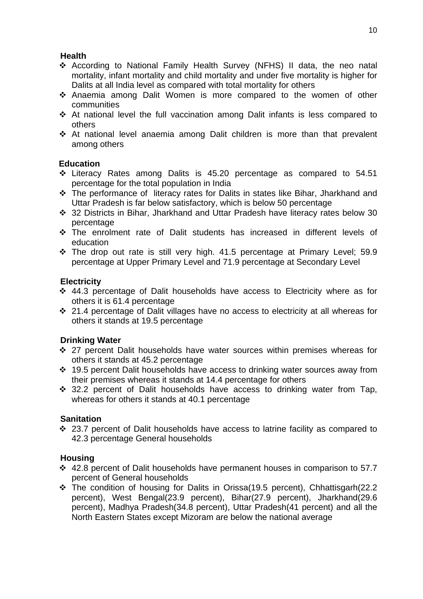## **Health**

- According to National Family Health Survey (NFHS) II data, the neo natal mortality, infant mortality and child mortality and under five mortality is higher for Dalits at all India level as compared with total mortality for others
- Anaemia among Dalit Women is more compared to the women of other communities
- At national level the full vaccination among Dalit infants is less compared to others
- At national level anaemia among Dalit children is more than that prevalent among others

## **Education**

- Literacy Rates among Dalits is 45.20 percentage as compared to 54.51 percentage for the total population in India
- The performance of literacy rates for Dalits in states like Bihar, Jharkhand and Uttar Pradesh is far below satisfactory, which is below 50 percentage
- 32 Districts in Bihar, Jharkhand and Uttar Pradesh have literacy rates below 30 percentage
- The enrolment rate of Dalit students has increased in different levels of education
- \* The drop out rate is still very high. 41.5 percentage at Primary Level; 59.9 percentage at Upper Primary Level and 71.9 percentage at Secondary Level

## **Electricity**

- 44.3 percentage of Dalit households have access to Electricity where as for others it is 61.4 percentage
- 21.4 percentage of Dalit villages have no access to electricity at all whereas for others it stands at 19.5 percentage

## **Drinking Water**

- 27 percent Dalit households have water sources within premises whereas for others it stands at 45.2 percentage
- 19.5 percent Dalit households have access to drinking water sources away from their premises whereas it stands at 14.4 percentage for others
- $\div$  32.2 percent of Dalit households have access to drinking water from Tap, whereas for others it stands at 40.1 percentage

## **Sanitation**

 23.7 percent of Dalit households have access to latrine facility as compared to 42.3 percentage General households

## **Housing**

- 42.8 percent of Dalit households have permanent houses in comparison to 57.7 percent of General households
- \* The condition of housing for Dalits in Orissa(19.5 percent), Chhattisgarh(22.2 percent), West Bengal(23.9 percent), Bihar(27.9 percent), Jharkhand(29.6 percent), Madhya Pradesh(34.8 percent), Uttar Pradesh(41 percent) and all the North Eastern States except Mizoram are below the national average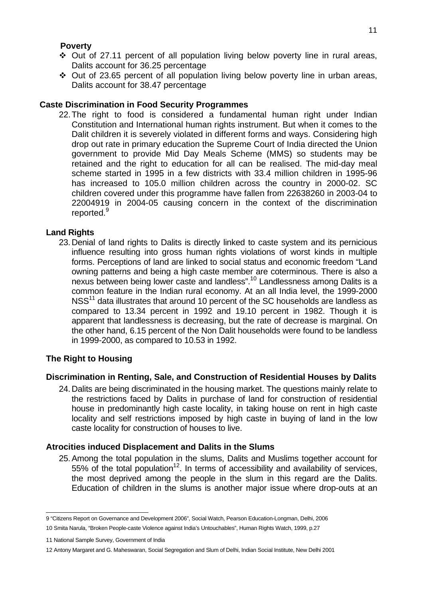#### **Poverty**

- $\div$  Out of 27.11 percent of all population living below poverty line in rural areas, Dalits account for 36.25 percentage
- $\div$  Out of 23.65 percent of all population living below poverty line in urban areas, Dalits account for 38.47 percentage

## **Caste Discrimination in Food Security Programmes**

22. The right to food is considered a fundamental human right under Indian Constitution and International human rights instrument. But when it comes to the Dalit children it is severely violated in different forms and ways. Considering high drop out rate in primary education the Supreme Court of India directed the Union government to provide Mid Day Meals Scheme (MMS) so students may be retained and the right to education for all can be realised. The mid-day meal scheme started in 1995 in a few districts with 33.4 million children in 1995-96 has increased to 105.0 million children across the country in 2000-02. SC children covered under this programme have fallen from 22638260 in 2003-04 to 22004919 in 2004-05 causing concern in the context of the discrimination reported.<sup>9</sup>

#### **Land Rights**

23. Denial of land rights to Dalits is directly linked to caste system and its pernicious influence resulting into gross human rights violations of worst kinds in multiple forms. Perceptions of land are linked to social status and economic freedom "Land owning patterns and being a high caste member are coterminous. There is also a nexus between being lower caste and landless".<sup>10</sup> Landlessness among Dalits is a common feature in the Indian rural economy. At an all India level, the 1999-2000  $NSS<sup>11</sup>$  data illustrates that around 10 percent of the SC households are landless as compared to 13.34 percent in 1992 and 19.10 percent in 1982. Though it is apparent that landlessness is decreasing, but the rate of decrease is marginal. On the other hand, 6.15 percent of the Non Dalit households were found to be landless in 1999-2000, as compared to 10.53 in 1992.

## **The Right to Housing**

## **Discrimination in Renting, Sale, and Construction of Residential Houses by Dalits**

24. Dalits are being discriminated in the housing market. The questions mainly relate to the restrictions faced by Dalits in purchase of land for construction of residential house in predominantly high caste locality, in taking house on rent in high caste locality and self restrictions imposed by high caste in buying of land in the low caste locality for construction of houses to live.

## **Atrocities induced Displacement and Dalits in the Slums**

25. Among the total population in the slums, Dalits and Muslims together account for  $55\%$  of the total population<sup>12</sup>. In terms of accessibility and availability of services, the most deprived among the people in the slum in this regard are the Dalits. Education of children in the slums is another major issue where drop-outs at an

 9 "Citizens Report on Governance and Development 2006", Social Watch, Pearson Education-Longman, Delhi, 2006

<sup>10</sup> Smita Narula, "Broken People-caste Violence against India's Untouchables", Human Rights Watch, 1999, p.27

<sup>11</sup> National Sample Survey, Government of India

<sup>12</sup> Antony Margaret and G. Maheswaran, Social Segregation and Slum of Delhi, Indian Social Institute, New Delhi 2001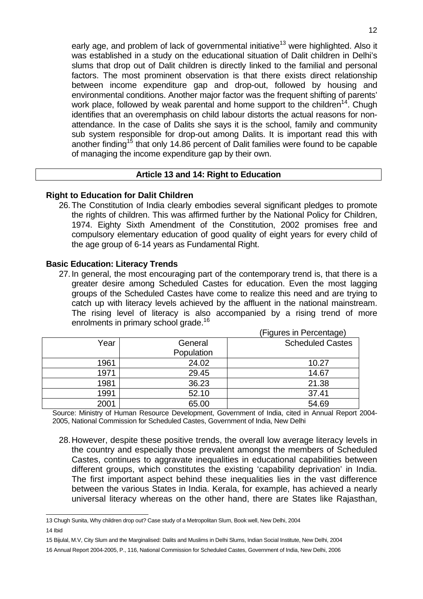early age, and problem of lack of governmental initiative<sup>13</sup> were highlighted. Also it was established in a study on the educational situation of Dalit children in Delhi's slums that drop out of Dalit children is directly linked to the familial and personal factors. The most prominent observation is that there exists direct relationship between income expenditure gap and drop-out, followed by housing and environmental conditions. Another major factor was the frequent shifting of parents' work place, followed by weak parental and home support to the children<sup>14</sup>. Chugh identifies that an overemphasis on child labour distorts the actual reasons for nonattendance. In the case of Dalits she says it is the school, family and community sub system responsible for drop-out among Dalits. It is important read this with another finding<sup>15</sup> that only 14.86 percent of Dalit families were found to be capable of managing the income expenditure gap by their own.

#### **Article 13 and 14: Right to Education**

## **Right to Education for Dalit Children**

26. The Constitution of India clearly embodies several significant pledges to promote the rights of children. This was affirmed further by the National Policy for Children, 1974. Eighty Sixth Amendment of the Constitution, 2002 promises free and compulsory elementary education of good quality of eight years for every child of the age group of 6-14 years as Fundamental Right.

## **Basic Education: Literacy Trends**

27. In general, the most encouraging part of the contemporary trend is, that there is a greater desire among Scheduled Castes for education. Even the most lagging groups of the Scheduled Castes have come to realize this need and are trying to catch up with literacy levels achieved by the affluent in the national mainstream. The rising level of literacy is also accompanied by a rising trend of more enrolments in primary school grade.<sup>16</sup>

(Figures in Percentage)

|      |            | $1.19$ and $0.111$ and $0.001$ mag $0.1$ |
|------|------------|------------------------------------------|
| Year | General    | <b>Scheduled Castes</b>                  |
|      | Population |                                          |
| 1961 | 24.02      | 10.27                                    |
| 1971 | 29.45      | 14.67                                    |
| 1981 | 36.23      | 21.38                                    |
| 1991 | 52.10      | 37.41                                    |
| 2001 | 65.00      | 54.69                                    |

Source: Ministry of Human Resource Development, Government of India, cited in Annual Report 2004- 2005, National Commission for Scheduled Castes, Government of India, New Delhi

28. However, despite these positive trends, the overall low average literacy levels in the country and especially those prevalent amongst the members of Scheduled Castes, continues to aggravate inequalities in educational capabilities between different groups, which constitutes the existing 'capability deprivation' in India. The first important aspect behind these inequalities lies in the vast difference between the various States in India. Kerala, for example, has achieved a nearly universal literacy whereas on the other hand, there are States like Rajasthan,

 13 Chugh Sunita, Why children drop out? Case study of a Metropolitan Slum, Book well, New Delhi, 2004 14 Ibid

<sup>15</sup> Bijulal, M.V, City Slum and the Marginalised: Dalits and Muslims in Delhi Slums, Indian Social Institute, New Delhi, 2004

<sup>16</sup> Annual Report 2004-2005, P., 116, National Commission for Scheduled Castes, Government of India, New Delhi, 2006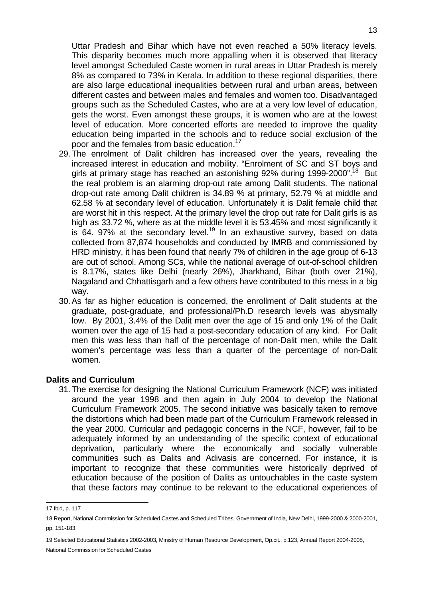Uttar Pradesh and Bihar which have not even reached a 50% literacy levels. This disparity becomes much more appalling when it is observed that literacy level amongst Scheduled Caste women in rural areas in Uttar Pradesh is merely 8% as compared to 73% in Kerala. In addition to these regional disparities, there are also large educational inequalities between rural and urban areas, between different castes and between males and females and women too. Disadvantaged groups such as the Scheduled Castes, who are at a very low level of education, gets the worst. Even amongst these groups, it is women who are at the lowest level of education. More concerted efforts are needed to improve the quality education being imparted in the schools and to reduce social exclusion of the poor and the females from basic education.<sup>17</sup>

- 29. The enrolment of Dalit children has increased over the years, revealing the increased interest in education and mobility. "Enrolment of SC and ST boys and girls at primary stage has reached an astonishing 92% during 1999-2000".<sup>18</sup> But the real problem is an alarming drop-out rate among Dalit students. The national drop-out rate among Dalit children is 34.89 % at primary, 52.79 % at middle and 62.58 % at secondary level of education. Unfortunately it is Dalit female child that are worst hit in this respect. At the primary level the drop out rate for Dalit girls is as high as 33.72 %, where as at the middle level it is 53.45% and most significantly it is 64. 97% at the secondary level.<sup>19</sup> In an exhaustive survey, based on data collected from 87,874 households and conducted by IMRB and commissioned by HRD ministry, it has been found that nearly 7% of children in the age group of 6-13 are out of school. Among SCs, while the national average of out-of-school children is 8.17%, states like Delhi (nearly 26%), Jharkhand, Bihar (both over 21%), Nagaland and Chhattisgarh and a few others have contributed to this mess in a big way.
- 30. As far as higher education is concerned, the enrollment of Dalit students at the graduate, post-graduate, and professional/Ph.D research levels was abysmally low. By 2001, 3.4% of the Dalit men over the age of 15 and only 1% of the Dalit women over the age of 15 had a post-secondary education of any kind. For Dalit men this was less than half of the percentage of non-Dalit men, while the Dalit women's percentage was less than a quarter of the percentage of non-Dalit women.

#### **Dalits and Curriculum**

31. The exercise for designing the National Curriculum Framework (NCF) was initiated around the year 1998 and then again in July 2004 to develop the National Curriculum Framework 2005. The second initiative was basically taken to remove the distortions which had been made part of the Curriculum Framework released in the year 2000. Curricular and pedagogic concerns in the NCF, however, fail to be adequately informed by an understanding of the specific context of educational deprivation, particularly where the economically and socially vulnerable communities such as Dalits and Adivasis are concerned. For instance, it is important to recognize that these communities were historically deprived of education because of the position of Dalits as untouchables in the caste system that these factors may continue to be relevant to the educational experiences of

 17 Ibid, p. 117

<sup>18</sup> Report, National Commission for Scheduled Castes and Scheduled Tribes, Government of India, New Delhi, 1999-2000 & 2000-2001, pp. 151-183

<sup>19</sup> Selected Educational Statistics 2002-2003, Ministry of Human Resource Development, Op.cit., p.123, Annual Report 2004-2005, National Commission for Scheduled Castes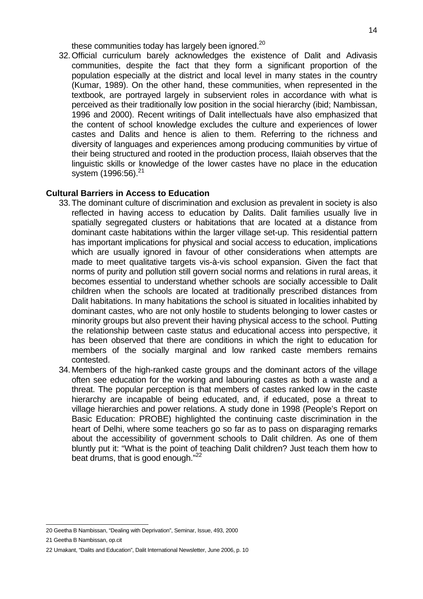these communities today has largely been ignored.<sup>20</sup>

32. Official curriculum barely acknowledges the existence of Dalit and Adivasis communities, despite the fact that they form a significant proportion of the population especially at the district and local level in many states in the country (Kumar, 1989). On the other hand, these communities, when represented in the textbook, are portrayed largely in subservient roles in accordance with what is perceived as their traditionally low position in the social hierarchy (ibid; Nambissan, 1996 and 2000). Recent writings of Dalit intellectuals have also emphasized that the content of school knowledge excludes the culture and experiences of lower castes and Dalits and hence is alien to them. Referring to the richness and diversity of languages and experiences among producing communities by virtue of their being structured and rooted in the production process, Ilaiah observes that the linguistic skills or knowledge of the lower castes have no place in the education system (1996:56).<sup>21</sup>

## **Cultural Barriers in Access to Education**

- 33. The dominant culture of discrimination and exclusion as prevalent in society is also reflected in having access to education by Dalits. Dalit families usually live in spatially segregated clusters or habitations that are located at a distance from dominant caste habitations within the larger village set-up. This residential pattern has important implications for physical and social access to education, implications which are usually ignored in favour of other considerations when attempts are made to meet qualitative targets vis-à-vis school expansion. Given the fact that norms of purity and pollution still govern social norms and relations in rural areas, it becomes essential to understand whether schools are socially accessible to Dalit children when the schools are located at traditionally prescribed distances from Dalit habitations. In many habitations the school is situated in localities inhabited by dominant castes, who are not only hostile to students belonging to lower castes or minority groups but also prevent their having physical access to the school. Putting the relationship between caste status and educational access into perspective, it has been observed that there are conditions in which the right to education for members of the socially marginal and low ranked caste members remains contested.
- 34. Members of the high-ranked caste groups and the dominant actors of the village often see education for the working and labouring castes as both a waste and a threat. The popular perception is that members of castes ranked low in the caste hierarchy are incapable of being educated, and, if educated, pose a threat to village hierarchies and power relations. A study done in 1998 (People's Report on Basic Education: PROBE) highlighted the continuing caste discrimination in the heart of Delhi, where some teachers go so far as to pass on disparaging remarks about the accessibility of government schools to Dalit children. As one of them bluntly put it: "What is the point of teaching Dalit children? Just teach them how to beat drums, that is good enough."<sup>22</sup>

 20 Geetha B Nambissan, "Dealing with Deprivation", Seminar, Issue, 493, 2000

<sup>21</sup> Geetha B Nambissan, op.cit

<sup>22</sup> Umakant, "Dalits and Education", Dalit International Newsletter, June 2006, p. 10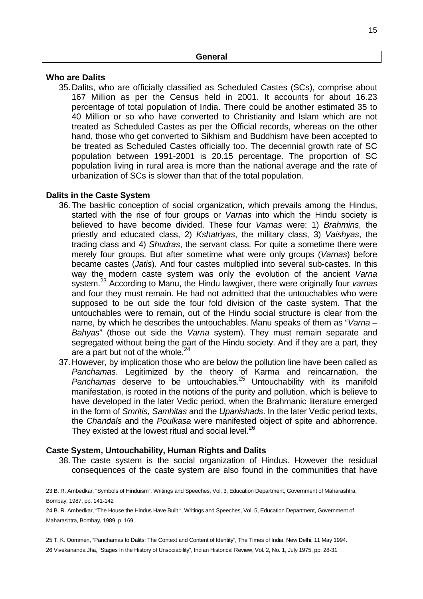#### **Who are Dalits**

35. Dalits, who are officially classified as Scheduled Castes (SCs), comprise about 167 Million as per the Census held in 2001. It accounts for about 16.23 percentage of total population of India. There could be another estimated 35 to 40 Million or so who have converted to Christianity and Islam which are not treated as Scheduled Castes as per the Official records, whereas on the other hand, those who get converted to Sikhism and Buddhism have been accepted to be treated as Scheduled Castes officially too. The decennial growth rate of SC population between 1991-2001 is 20.15 percentage. The proportion of SC population living in rural area is more than the national average and the rate of urbanization of SCs is slower than that of the total population.

## **Dalits in the Caste System**

- 36. The basHic conception of social organization, which prevails among the Hindus, started with the rise of four groups or *Varnas* into which the Hindu society is believed to have become divided. These four Varnas were: 1) Brahmins, the priestly and educated class, 2) Kshatriyas, the military class, 3) Vaishyas, the trading class and 4) Shudras, the servant class. For quite a sometime there were merely four groups. But after sometime what were only groups (Varnas) before became castes (Jatis). And four castes multiplied into several sub-castes. In this way the modern caste system was only the evolution of the ancient Varna system.<sup>23</sup> According to Manu, the Hindu lawgiver, there were originally four varnas and four they must remain. He had not admitted that the untouchables who were supposed to be out side the four fold division of the caste system. That the untouchables were to remain, out of the Hindu social structure is clear from the name, by which he describes the untouchables. Manu speaks of them as "Varna – Bahyas" (those out side the Varna system). They must remain separate and segregated without being the part of the Hindu society. And if they are a part, they are a part but not of the whole. $^{24}$
- 37. However, by implication those who are below the pollution line have been called as Panchamas. Legitimized by the theory of Karma and reincarnation, the Panchamas deserve to be untouchables.<sup>25</sup> Untouchability with its manifold manifestation, is rooted in the notions of the purity and pollution, which is believe to have developed in the later Vedic period, when the Brahmanic literature emerged in the form of Smritis, Samhitas and the Upanishads. In the later Vedic period texts, the Chandals and the Poulkasa were manifested object of spite and abhorrence. They existed at the lowest ritual and social level.<sup>26</sup>

## **Caste System, Untouchability, Human Rights and Dalits**

38. The caste system is the social organization of Hindus. However the residual consequences of the caste system are also found in the communities that have

25 T. K. Oommen, "Panchamas to Dalits: The Context and Content of Identity", The Times of India, New Delhi, 11 May 1994. 26 Vivekananda Jha, "Stages In the History of Unsociability", Indian Historical Review, Vol. 2, No. 1, July 1975, pp. 28-31

 23 B. R. Ambedkar, "Symbols of Hinduism", Writings and Speeches, Vol. 3, Education Department, Government of Maharashtra, Bombay, 1987, pp. 141-142

<sup>24</sup> B. R. Ambedkar, "The House the Hindus Have Built ", Writings and Speeches, Vol. 5, Education Department, Government of Maharashtra, Bombay, 1989, p. 169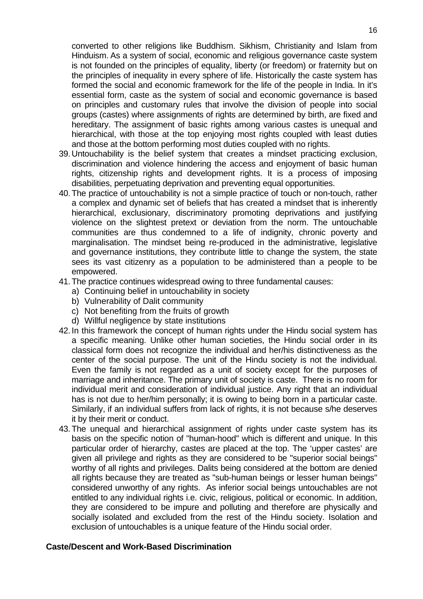converted to other religions like Buddhism. Sikhism, Christianity and Islam from Hinduism. As a system of social, economic and religious governance caste system is not founded on the principles of equality, liberty (or freedom) or fraternity but on the principles of inequality in every sphere of life. Historically the caste system has formed the social and economic framework for the life of the people in India. In it's essential form, caste as the system of social and economic governance is based on principles and customary rules that involve the division of people into social groups (castes) where assignments of rights are determined by birth, are fixed and hereditary. The assignment of basic rights among various castes is unequal and hierarchical, with those at the top enjoying most rights coupled with least duties and those at the bottom performing most duties coupled with no rights.

- 39. Untouchability is the belief system that creates a mindset practicing exclusion, discrimination and violence hindering the access and enjoyment of basic human rights, citizenship rights and development rights. It is a process of imposing disabilities, perpetuating deprivation and preventing equal opportunities.
- 40. The practice of untouchability is not a simple practice of touch or non-touch, rather a complex and dynamic set of beliefs that has created a mindset that is inherently hierarchical, exclusionary, discriminatory promoting deprivations and justifying violence on the slightest pretext or deviation from the norm. The untouchable communities are thus condemned to a life of indignity, chronic poverty and marginalisation. The mindset being re-produced in the administrative, legislative and governance institutions, they contribute little to change the system, the state sees its vast citizenry as a population to be administered than a people to be empowered.
- 41. The practice continues widespread owing to three fundamental causes:
	- a) Continuing belief in untouchability in society
	- b) Vulnerability of Dalit community
	- c) Not benefiting from the fruits of growth
	- d) Willful negligence by state institutions
- 42. In this framework the concept of human rights under the Hindu social system has a specific meaning. Unlike other human societies, the Hindu social order in its classical form does not recognize the individual and her/his distinctiveness as the center of the social purpose. The unit of the Hindu society is not the individual. Even the family is not regarded as a unit of society except for the purposes of marriage and inheritance. The primary unit of society is caste. There is no room for individual merit and consideration of individual justice. Any right that an individual has is not due to her/him personally; it is owing to being born in a particular caste. Similarly, if an individual suffers from lack of rights, it is not because s/he deserves it by their merit or conduct.
- 43. The unequal and hierarchical assignment of rights under caste system has its basis on the specific notion of "human-hood" which is different and unique. In this particular order of hierarchy, castes are placed at the top. The 'upper castes' are given all privilege and rights as they are considered to be "superior social beings" worthy of all rights and privileges. Dalits being considered at the bottom are denied all rights because they are treated as "sub-human beings or lesser human beings" considered unworthy of any rights. As inferior social beings untouchables are not entitled to any individual rights i.e. civic, religious, political or economic. In addition, they are considered to be impure and polluting and therefore are physically and socially isolated and excluded from the rest of the Hindu society. Isolation and exclusion of untouchables is a unique feature of the Hindu social order.

#### **Caste/Descent and Work-Based Discrimination**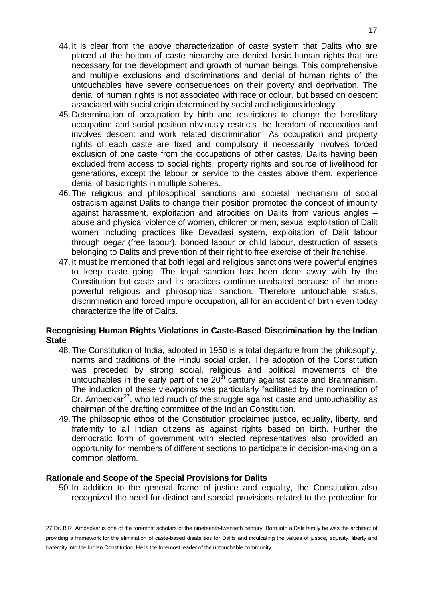- 44. It is clear from the above characterization of caste system that Dalits who are placed at the bottom of caste hierarchy are denied basic human rights that are necessary for the development and growth of human beings. This comprehensive and multiple exclusions and discriminations and denial of human rights of the untouchables have severe consequences on their poverty and deprivation. The denial of human rights is not associated with race or colour, but based on descent associated with social origin determined by social and religious ideology.
- 45. Determination of occupation by birth and restrictions to change the hereditary occupation and social position obviously restricts the freedom of occupation and involves descent and work related discrimination. As occupation and property rights of each caste are fixed and compulsory it necessarily involves forced exclusion of one caste from the occupations of other castes. Dalits having been excluded from access to social rights, property rights and source of livelihood for generations, except the labour or service to the castes above them, experience denial of basic rights in multiple spheres.
- 46. The religious and philosophical sanctions and societal mechanism of social ostracism against Dalits to change their position promoted the concept of impunity against harassment, exploitation and atrocities on Dalits from various angles – abuse and physical violence of women, children or men, sexual exploitation of Dalit women including practices like Devadasi system, exploitation of Dalit labour through begar (free labour), bonded labour or child labour, destruction of assets belonging to Dalits and prevention of their right to free exercise of their franchise.
- 47. It must be mentioned that both legal and religious sanctions were powerful engines to keep caste going. The legal sanction has been done away with by the Constitution but caste and its practices continue unabated because of the more powerful religious and philosophical sanction. Therefore untouchable status, discrimination and forced impure occupation, all for an accident of birth even today characterize the life of Dalits.

## **Recognising Human Rights Violations in Caste-Based Discrimination by the Indian State**

- 48. The Constitution of India, adopted in 1950 is a total departure from the philosophy, norms and traditions of the Hindu social order. The adoption of the Constitution was preceded by strong social, religious and political movements of the untouchables in the early part of the  $20<sup>th</sup>$  century against caste and Brahmanism. The induction of these viewpoints was particularly facilitated by the nomination of Dr. Ambedkar $^{27}$ , who led much of the struggle against caste and untouchability as chairman of the drafting committee of the Indian Constitution.
- 49. The philosophic ethos of the Constitution proclaimed justice, equality, liberty, and fraternity to all Indian citizens as against rights based on birth. Further the democratic form of government with elected representatives also provided an opportunity for members of different sections to participate in decision-making on a common platform.

## **Rationale and Scope of the Special Provisions for Dalits**

50. In addition to the general frame of justice and equality, the Constitution also recognized the need for distinct and special provisions related to the protection for

 27 Dr. B.R. Ambedkar is one of the foremost scholars of the nineteenth-twentieth century. Born into a Dalit family he was the architect of providing a framework for the elimination of caste-based disabilities for Dalits and inculcating the values of justice, equality, liberty and fraternity into the Indian Constitution. He is the foremost leader of the untouchable community.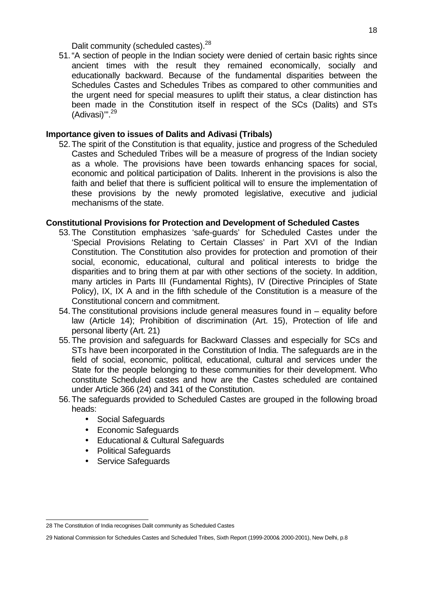Dalit community (scheduled castes).<sup>28</sup>

51. "A section of people in the Indian society were denied of certain basic rights since ancient times with the result they remained economically, socially and educationally backward. Because of the fundamental disparities between the Schedules Castes and Schedules Tribes as compared to other communities and the urgent need for special measures to uplift their status, a clear distinction has been made in the Constitution itself in respect of the SCs (Dalits) and STs (Adivasi)'".<sup>29</sup>

#### **Importance given to issues of Dalits and Adivasi (Tribals)**

52. The spirit of the Constitution is that equality, justice and progress of the Scheduled Castes and Scheduled Tribes will be a measure of progress of the Indian society as a whole. The provisions have been towards enhancing spaces for social, economic and political participation of Dalits. Inherent in the provisions is also the faith and belief that there is sufficient political will to ensure the implementation of these provisions by the newly promoted legislative, executive and judicial mechanisms of the state.

#### **Constitutional Provisions for Protection and Development of Scheduled Castes**

- 53. The Constitution emphasizes 'safe-guards' for Scheduled Castes under the 'Special Provisions Relating to Certain Classes' in Part XVI of the Indian Constitution. The Constitution also provides for protection and promotion of their social, economic, educational, cultural and political interests to bridge the disparities and to bring them at par with other sections of the society. In addition, many articles in Parts III (Fundamental Rights), IV (Directive Principles of State Policy), IX, IX A and in the fifth schedule of the Constitution is a measure of the Constitutional concern and commitment.
- 54. The constitutional provisions include general measures found in equality before law (Article 14); Prohibition of discrimination (Art. 15), Protection of life and personal liberty (Art. 21)
- 55. The provision and safeguards for Backward Classes and especially for SCs and STs have been incorporated in the Constitution of India. The safeguards are in the field of social, economic, political, educational, cultural and services under the State for the people belonging to these communities for their development. Who constitute Scheduled castes and how are the Castes scheduled are contained under Article 366 (24) and 341 of the Constitution.
- 56. The safeguards provided to Scheduled Castes are grouped in the following broad heads:
	- Social Safeguards
	- Economic Safeguards
	- Educational & Cultural Safeguards
	- Political Safeguards
	- Service Safeguards

 28 The Constitution of India recognises Dalit community as Scheduled Castes

<sup>29</sup> National Commission for Schedules Castes and Scheduled Tribes, Sixth Report (1999-2000& 2000-2001), New Delhi, p.8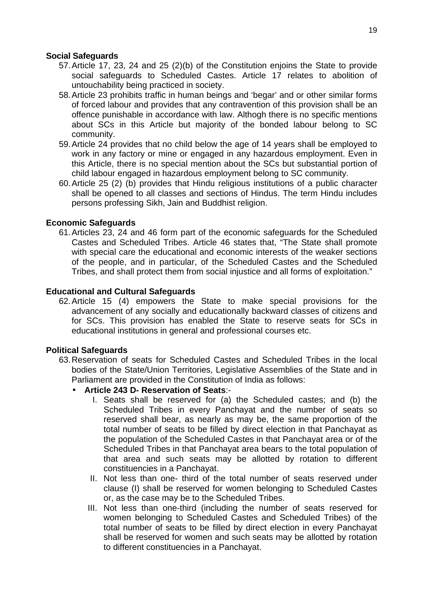## **Social Safeguards**

- 57. Article 17, 23, 24 and 25 (2)(b) of the Constitution enjoins the State to provide social safeguards to Scheduled Castes. Article 17 relates to abolition of untouchability being practiced in society.
- 58. Article 23 prohibits traffic in human beings and 'begar' and or other similar forms of forced labour and provides that any contravention of this provision shall be an offence punishable in accordance with law. Althogh there is no specific mentions about SCs in this Article but majority of the bonded labour belong to SC community.
- 59. Article 24 provides that no child below the age of 14 years shall be employed to work in any factory or mine or engaged in any hazardous employment. Even in this Article, there is no special mention about the SCs but substantial portion of child labour engaged in hazardous employment belong to SC community.
- 60. Article 25 (2) (b) provides that Hindu religious institutions of a public character shall be opened to all classes and sections of Hindus. The term Hindu includes persons professing Sikh, Jain and Buddhist religion.

## **Economic Safeguards**

61. Articles 23, 24 and 46 form part of the economic safeguards for the Scheduled Castes and Scheduled Tribes. Article 46 states that, "The State shall promote with special care the educational and economic interests of the weaker sections of the people, and in particular, of the Scheduled Castes and the Scheduled Tribes, and shall protect them from social injustice and all forms of exploitation."

#### **Educational and Cultural Safeguards**

62. Article 15 (4) empowers the State to make special provisions for the advancement of any socially and educationally backward classes of citizens and for SCs. This provision has enabled the State to reserve seats for SCs in educational institutions in general and professional courses etc.

#### **Political Safeguards**

- 63. Reservation of seats for Scheduled Castes and Scheduled Tribes in the local bodies of the State/Union Territories, Legislative Assemblies of the State and in Parliament are provided in the Constitution of India as follows:
	- **Article 243 D- Reservation of Seats**:-
		- I. Seats shall be reserved for (a) the Scheduled castes; and (b) the Scheduled Tribes in every Panchayat and the number of seats so reserved shall bear, as nearly as may be, the same proportion of the total number of seats to be filled by direct election in that Panchayat as the population of the Scheduled Castes in that Panchayat area or of the Scheduled Tribes in that Panchayat area bears to the total population of that area and such seats may be allotted by rotation to different constituencies in a Panchayat.
		- II. Not less than one- third of the total number of seats reserved under clause (I) shall be reserved for women belonging to Scheduled Castes or, as the case may be to the Scheduled Tribes.
		- III. Not less than one-third (including the number of seats reserved for women belonging to Scheduled Castes and Scheduled Tribes) of the total number of seats to be filled by direct election in every Panchayat shall be reserved for women and such seats may be allotted by rotation to different constituencies in a Panchayat.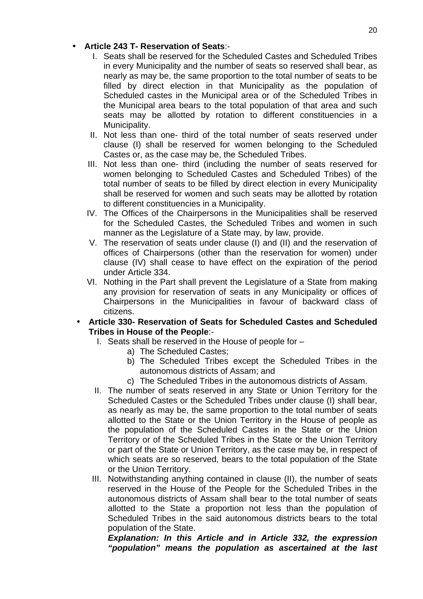## • **Article 243 T- Reservation of Seats**:-

- I. Seats shall be reserved for the Scheduled Castes and Scheduled Tribes in every Municipality and the number of seats so reserved shall bear, as nearly as may be, the same proportion to the total number of seats to be filled by direct election in that Municipality as the population of Scheduled castes in the Municipal area or of the Scheduled Tribes in the Municipal area bears to the total population of that area and such seats may be allotted by rotation to different constituencies in a Municipality.
- II. Not less than one- third of the total number of seats reserved under clause (I) shall be reserved for women belonging to the Scheduled Castes or, as the case may be, the Scheduled Tribes.
- III. Not less than one- third (including the number of seats reserved for women belonging to Scheduled Castes and Scheduled Tribes) of the total number of seats to be filled by direct election in every Municipality shall be reserved for women and such seats may be allotted by rotation to different constituencies in a Municipality.
- IV. The Offices of the Chairpersons in the Municipalities shall be reserved for the Scheduled Castes, the Scheduled Tribes and women in such manner as the Legislature of a State may, by law, provide.
- V. The reservation of seats under clause (I) and (II) and the reservation of offices of Chairpersons (other than the reservation for women) under clause (IV) shall cease to have effect on the expiration of the period under Article 334.
- VI. Nothing in the Part shall prevent the Legislature of a State from making any provision for reservation of seats in any Municipality or offices of Chairpersons in the Municipalities in favour of backward class of citizens.
- **Article 330- Reservation of Seats for Scheduled Castes and Scheduled Tribes in House of the People**:-
	- I. Seats shall be reserved in the House of people for
		- a) The Scheduled Castes;
		- b) The Scheduled Tribes except the Scheduled Tribes in the autonomous districts of Assam; and
		- c) The Scheduled Tribes in the autonomous districts of Assam.
	- II. The number of seats reserved in any State or Union Territory for the Scheduled Castes or the Scheduled Tribes under clause (I) shall bear, as nearly as may be, the same proportion to the total number of seats allotted to the State or the Union Territory in the House of people as the population of the Scheduled Castes in the State or the Union Territory or of the Scheduled Tribes in the State or the Union Territory or part of the State or Union Territory, as the case may be, in respect of which seats are so reserved, bears to the total population of the State or the Union Territory.
	- III. Notwithstanding anything contained in clause (II), the number of seats reserved in the House of the People for the Scheduled Tribes in the autonomous districts of Assam shall bear to the total number of seats allotted to the State a proportion not less than the population of Scheduled Tribes in the said autonomous districts bears to the total population of the State.

**Explanation: In this Article and in Article 332, the expression "population" means the population as ascertained at the last**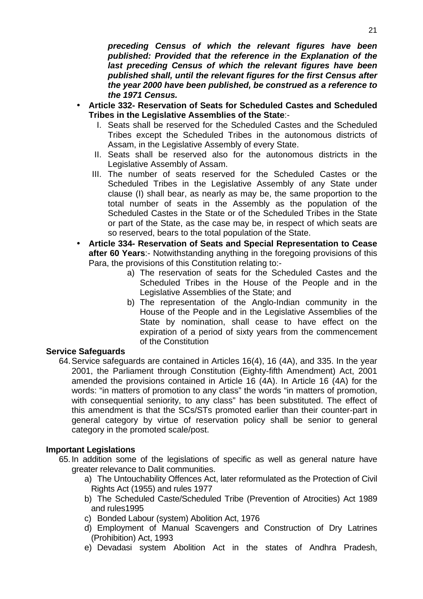**preceding Census of which the relevant figures have been published: Provided that the reference in the Explanation of the last preceding Census of which the relevant figures have been published shall, until the relevant figures for the first Census after the year 2000 have been published, be construed as a reference to the 1971 Census.** 

- **Article 332- Reservation of Seats for Scheduled Castes and Scheduled Tribes in the Legislative Assemblies of the State**:-
	- I. Seats shall be reserved for the Scheduled Castes and the Scheduled Tribes except the Scheduled Tribes in the autonomous districts of Assam, in the Legislative Assembly of every State.
	- II. Seats shall be reserved also for the autonomous districts in the Legislative Assembly of Assam.
	- III. The number of seats reserved for the Scheduled Castes or the Scheduled Tribes in the Legislative Assembly of any State under clause (I) shall bear, as nearly as may be, the same proportion to the total number of seats in the Assembly as the population of the Scheduled Castes in the State or of the Scheduled Tribes in the State or part of the State, as the case may be, in respect of which seats are so reserved, bears to the total population of the State.
- **Article 334- Reservation of Seats and Special Representation to Cease after 60 Years**:- Notwithstanding anything in the foregoing provisions of this Para, the provisions of this Constitution relating to:
	- a) The reservation of seats for the Scheduled Castes and the Scheduled Tribes in the House of the People and in the Legislative Assemblies of the State; and
	- b) The representation of the Anglo-Indian community in the House of the People and in the Legislative Assemblies of the State by nomination, shall cease to have effect on the expiration of a period of sixty years from the commencement of the Constitution

#### **Service Safeguards**

64. Service safeguards are contained in Articles 16(4), 16 (4A), and 335. In the year 2001, the Parliament through Constitution (Eighty-fifth Amendment) Act, 2001 amended the provisions contained in Article 16 (4A). In Article 16 (4A) for the words: "in matters of promotion to any class" the words "in matters of promotion, with consequential seniority, to any class" has been substituted. The effect of this amendment is that the SCs/STs promoted earlier than their counter-part in general category by virtue of reservation policy shall be senior to general category in the promoted scale/post.

## **Important Legislations**

- 65. In addition some of the legislations of specific as well as general nature have greater relevance to Dalit communities.
	- a) The Untouchability Offences Act, later reformulated as the Protection of Civil Rights Act (1955) and rules 1977
	- b) The Scheduled Caste/Scheduled Tribe (Prevention of Atrocities) Act 1989 and rules1995
	- c) Bonded Labour (system) Abolition Act, 1976
	- d) Employment of Manual Scavengers and Construction of Dry Latrines (Prohibition) Act, 1993
	- e) Devadasi system Abolition Act in the states of Andhra Pradesh,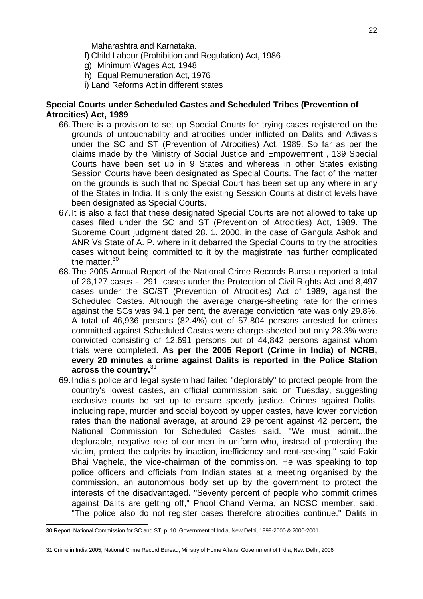Maharashtra and Karnataka.

f) Child Labour (Prohibition and Regulation) Act, 1986

- g) Minimum Wages Act, 1948
- h) Equal Remuneration Act, 1976
- i) Land Reforms Act in different states

#### **Special Courts under Scheduled Castes and Scheduled Tribes (Prevention of Atrocities) Act, 1989**

- 66. There is a provision to set up Special Courts for trying cases registered on the grounds of untouchability and atrocities under inflicted on Dalits and Adivasis under the SC and ST (Prevention of Atrocities) Act, 1989. So far as per the claims made by the Ministry of Social Justice and Empowerment , 139 Special Courts have been set up in 9 States and whereas in other States existing Session Courts have been designated as Special Courts. The fact of the matter on the grounds is such that no Special Court has been set up any where in any of the States in India. It is only the existing Session Courts at district levels have been designated as Special Courts.
- 67. It is also a fact that these designated Special Courts are not allowed to take up cases filed under the SC and ST (Prevention of Atrocities) Act, 1989. The Supreme Court judgment dated 28. 1. 2000, in the case of Gangula Ashok and ANR Vs State of A. P. where in it debarred the Special Courts to try the atrocities cases without being committed to it by the magistrate has further complicated the matter.<sup>30</sup>
- 68. The 2005 Annual Report of the National Crime Records Bureau reported a total of 26,127 cases - 291 cases under the Protection of Civil Rights Act and 8,497 cases under the SC/ST (Prevention of Atrocities) Act of 1989, against the Scheduled Castes. Although the average charge-sheeting rate for the crimes against the SCs was 94.1 per cent, the average conviction rate was only 29.8%. A total of 46,936 persons (82.4%) out of 57,804 persons arrested for crimes committed against Scheduled Castes were charge-sheeted but only 28.3% were convicted consisting of 12,691 persons out of 44,842 persons against whom trials were completed. **As per the 2005 Report (Crime in India) of NCRB, every 20 minutes a crime against Dalits is reported in the Police Station across the country.**<sup>31</sup>
- 69. India's police and legal system had failed "deplorably" to protect people from the country's lowest castes, an official commission said on Tuesday, suggesting exclusive courts be set up to ensure speedy justice. Crimes against Dalits, including rape, murder and social boycott by upper castes, have lower conviction rates than the national average, at around 29 percent against 42 percent, the National Commission for Scheduled Castes said. "We must admit...the deplorable, negative role of our men in uniform who, instead of protecting the victim, protect the culprits by inaction, inefficiency and rent-seeking," said Fakir Bhai Vaghela, the vice-chairman of the commission. He was speaking to top police officers and officials from Indian states at a meeting organised by the commission, an autonomous body set up by the government to protect the interests of the disadvantaged. "Seventy percent of people who commit crimes against Dalits are getting off," Phool Chand Verma, an NCSC member, said. "The police also do not register cases therefore atrocities continue." Dalits in

 30 Report, National Commission for SC and ST, p. 10, Government of India, New Delhi, 1999-2000 & 2000-2001

<sup>31</sup> Crime in India 2005, National Crime Record Bureau, Minstry of Home Affairs, Government of India, New Delhi, 2006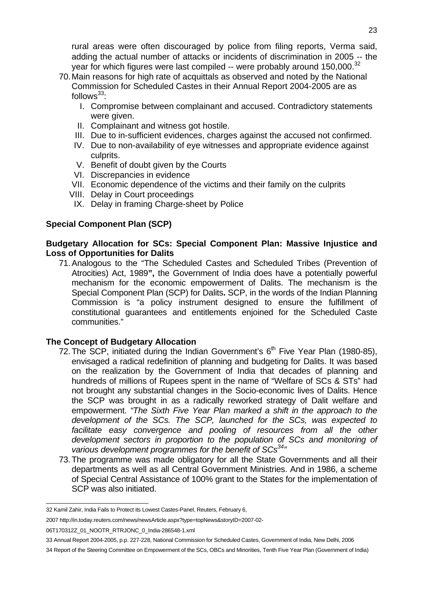rural areas were often discouraged by police from filing reports, Verma said, adding the actual number of attacks or incidents of discrimination in 2005 -- the vear for which figures were last compiled  $-$  were probably around 150,000.<sup>32</sup>

- 70. Main reasons for high rate of acquittals as observed and noted by the National Commission for Scheduled Castes in their Annual Report 2004-2005 are as follows $33$ :
	- I. Compromise between complainant and accused. Contradictory statements were given.
	- II. Complainant and witness got hostile.
	- III. Due to in-sufficient evidences, charges against the accused not confirmed.
	- IV. Due to non-availability of eye witnesses and appropriate evidence against culprits.
	- V. Benefit of doubt given by the Courts
	- VI. Discrepancies in evidence
	- VII. Economic dependence of the victims and their family on the culprits
	- VIII. Delay in Court proceedings
	- IX. Delay in framing Charge-sheet by Police

## **Special Component Plan (SCP)**

## **Budgetary Allocation for SCs: Special Component Plan: Massive Injustice and Loss of Opportunities for Dalits**

71. Analogous to the "The Scheduled Castes and Scheduled Tribes (Prevention of Atrocities) Act, 1989**",** the Government of India does have a potentially powerful mechanism for the economic empowerment of Dalits. The mechanism is the Special Component Plan (SCP) for Dalits**.** SCP, in the words of the Indian Planning Commission is "a policy instrument designed to ensure the fulfillment of constitutional guarantees and entitlements enjoined for the Scheduled Caste communities."

## **The Concept of Budgetary Allocation**

- 72. The SCP, initiated during the Indian Government's  $6<sup>th</sup>$  Five Year Plan (1980-85), envisaged a radical redefinition of planning and budgeting for Dalits. It was based on the realization by the Government of India that decades of planning and hundreds of millions of Rupees spent in the name of "Welfare of SCs & STs" had not brought any substantial changes in the Socio-economic lives of Dalits. Hence the SCP was brought in as a radically reworked strategy of Dalit welfare and empowerment. "The Sixth Five Year Plan marked a shift in the approach to the development of the SCs. The SCP, launched for the SCs, was expected to facilitate easy convergence and pooling of resources from all the other development sectors in proportion to the population of SCs and monitoring of various development programmes for the benefit of  $SCs^{34}$
- 73. The programme was made obligatory for all the State Governments and all their departments as well as all Central Government Ministries. And in 1986, a scheme of Special Central Assistance of 100% grant to the States for the implementation of SCP was also initiated.

 32 Kamil Zahir, India Fails to Protect its Lowest Castes-Panel, Reuters, February 6,

<sup>2007</sup> http://in.today.reuters.com/news/newsArticle.aspx?type=topNews&storyID=2007-02-

<sup>06</sup>T170312Z\_01\_NOOTR\_RTRJONC\_0\_India-286548-1.xml

<sup>33</sup> Annual Report 2004-2005, p.p. 227-228, National Commission for Scheduled Castes, Government of India, New Delhi, 2006

<sup>34</sup> Report of the Steering Committee on Empowerment of the SCs, OBCs and Minorities, Tenth Five Year Plan (Government of India)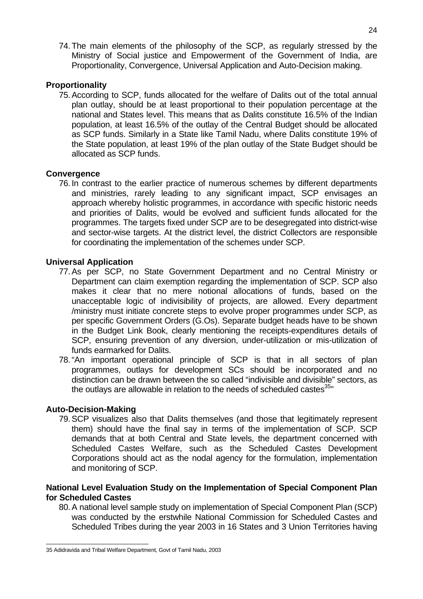74. The main elements of the philosophy of the SCP, as regularly stressed by the Ministry of Social justice and Empowerment of the Government of India, are Proportionality, Convergence, Universal Application and Auto-Decision making.

#### **Proportionality**

75. According to SCP, funds allocated for the welfare of Dalits out of the total annual plan outlay, should be at least proportional to their population percentage at the national and States level. This means that as Dalits constitute 16.5% of the Indian population, at least 16.5% of the outlay of the Central Budget should be allocated as SCP funds. Similarly in a State like Tamil Nadu, where Dalits constitute 19% of the State population, at least 19% of the plan outlay of the State Budget should be allocated as SCP funds.

#### **Convergence**

76. In contrast to the earlier practice of numerous schemes by different departments and ministries, rarely leading to any significant impact, SCP envisages an approach whereby holistic programmes, in accordance with specific historic needs and priorities of Dalits, would be evolved and sufficient funds allocated for the programmes. The targets fixed under SCP are to be desegregated into district-wise and sector-wise targets. At the district level, the district Collectors are responsible for coordinating the implementation of the schemes under SCP.

#### **Universal Application**

- 77. As per SCP, no State Government Department and no Central Ministry or Department can claim exemption regarding the implementation of SCP. SCP also makes it clear that no mere notional allocations of funds, based on the unacceptable logic of indivisibility of projects, are allowed. Every department /ministry must initiate concrete steps to evolve proper programmes under SCP, as per specific Government Orders (G.Os). Separate budget heads have to be shown in the Budget Link Book, clearly mentioning the receipts-expenditures details of SCP, ensuring prevention of any diversion, under-utilization or mis-utilization of funds earmarked for Dalits.
- 78. "An important operational principle of SCP is that in all sectors of plan programmes, outlays for development SCs should be incorporated and no distinction can be drawn between the so called "indivisible and divisible" sectors, as the outlays are allowable in relation to the needs of scheduled castes $35"$

#### **Auto-Decision-Making**

79. SCP visualizes also that Dalits themselves (and those that legitimately represent them) should have the final say in terms of the implementation of SCP. SCP demands that at both Central and State levels, the department concerned with Scheduled Castes Welfare, such as the Scheduled Castes Development Corporations should act as the nodal agency for the formulation, implementation and monitoring of SCP.

#### **National Level Evaluation Study on the Implementation of Special Component Plan for Scheduled Castes**

80. A national level sample study on implementation of Special Component Plan (SCP) was conducted by the erstwhile National Commission for Scheduled Castes and Scheduled Tribes during the year 2003 in 16 States and 3 Union Territories having

 35 Adidravida and Tribal Welfare Department, Govt of Tamil Nadu, 2003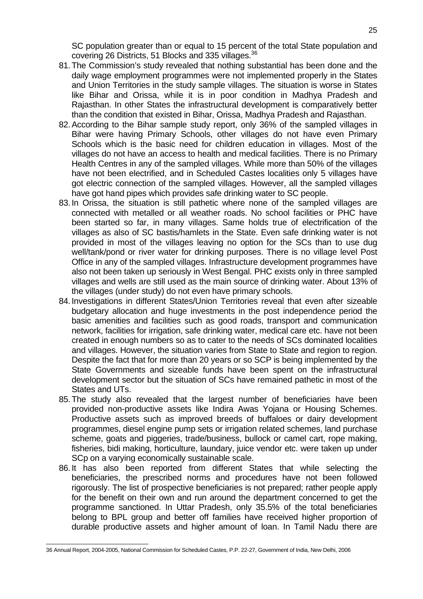SC population greater than or equal to 15 percent of the total State population and covering 26 Districts, 51 Blocks and 335 villages.<sup>36</sup>

- 81. The Commission's study revealed that nothing substantial has been done and the daily wage employment programmes were not implemented properly in the States and Union Territories in the study sample villages. The situation is worse in States like Bihar and Orissa, while it is in poor condition in Madhya Pradesh and Rajasthan. In other States the infrastructural development is comparatively better than the condition that existed in Bihar, Orissa, Madhya Pradesh and Rajasthan.
- 82. According to the Bihar sample study report, only 36% of the sampled villages in Bihar were having Primary Schools, other villages do not have even Primary Schools which is the basic need for children education in villages. Most of the villages do not have an access to health and medical facilities. There is no Primary Health Centres in any of the sampled villages. While more than 50% of the villages have not been electrified, and in Scheduled Castes localities only 5 villages have got electric connection of the sampled villages. However, all the sampled villages have got hand pipes which provides safe drinking water to SC people.
- 83. In Orissa, the situation is still pathetic where none of the sampled villages are connected with metalled or all weather roads. No school facilities or PHC have been started so far, in many villages. Same holds true of electrification of the villages as also of SC bastis/hamlets in the State. Even safe drinking water is not provided in most of the villages leaving no option for the SCs than to use dug well/tank/pond or river water for drinking purposes. There is no village level Post Office in any of the sampled villages. Infrastructure development programmes have also not been taken up seriously in West Bengal. PHC exists only in three sampled villages and wells are still used as the main source of drinking water. About 13% of the villages (under study) do not even have primary schools.
- 84. Investigations in different States/Union Territories reveal that even after sizeable budgetary allocation and huge investments in the post independence period the basic amenities and facilities such as good roads, transport and communication network, facilities for irrigation, safe drinking water, medical care etc. have not been created in enough numbers so as to cater to the needs of SCs dominated localities and villages. However, the situation varies from State to State and region to region. Despite the fact that for more than 20 years or so SCP is being implemented by the State Governments and sizeable funds have been spent on the infrastructural development sector but the situation of SCs have remained pathetic in most of the States and UTs.
- 85. The study also revealed that the largest number of beneficiaries have been provided non-productive assets like Indira Awas Yojana or Housing Schemes. Productive assets such as improved breeds of buffaloes or dairy development programmes, diesel engine pump sets or irrigation related schemes, land purchase scheme, goats and piggeries, trade/business, bullock or camel cart, rope making, fisheries, bidi making, horticulture, laundary, juice vendor etc. were taken up under SCp on a varying economically sustainable scale.
- 86. It has also been reported from different States that while selecting the beneficiaries, the prescribed norms and procedures have not been followed rigorously. The list of prospective beneficiaries is not prepared; rather people apply for the benefit on their own and run around the department concerned to get the programme sanctioned. In Uttar Pradesh, only 35.5% of the total beneficiaries belong to BPL group and better off families have received higher proportion of durable productive assets and higher amount of loan. In Tamil Nadu there are

 36 Annual Report, 2004-2005, National Commission for Scheduled Castes, P.P. 22-27, Government of India, New Delhi, 2006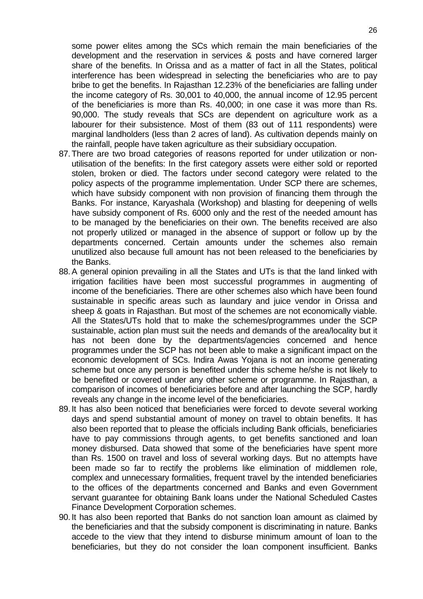some power elites among the SCs which remain the main beneficiaries of the development and the reservation in services & posts and have cornered larger share of the benefits. In Orissa and as a matter of fact in all the States, political interference has been widespread in selecting the beneficiaries who are to pay bribe to get the benefits. In Rajasthan 12.23% of the beneficiaries are falling under the income category of Rs. 30,001 to 40,000, the annual income of 12.95 percent of the beneficiaries is more than Rs. 40,000; in one case it was more than Rs. 90,000. The study reveals that SCs are dependent on agriculture work as a labourer for their subsistence. Most of them (83 out of 111 respondents) were marginal landholders (less than 2 acres of land). As cultivation depends mainly on the rainfall, people have taken agriculture as their subsidiary occupation.

- 87. There are two broad categories of reasons reported for under utilization or nonutilisation of the benefits: In the first category assets were either sold or reported stolen, broken or died. The factors under second category were related to the policy aspects of the programme implementation. Under SCP there are schemes, which have subsidy component with non provision of financing them through the Banks. For instance, Karyashala (Workshop) and blasting for deepening of wells have subsidy component of Rs. 6000 only and the rest of the needed amount has to be managed by the beneficiaries on their own. The benefits received are also not properly utilized or managed in the absence of support or follow up by the departments concerned. Certain amounts under the schemes also remain unutilized also because full amount has not been released to the beneficiaries by the Banks.
- 88. A general opinion prevailing in all the States and UTs is that the land linked with irrigation facilities have been most successful programmes in augmenting of income of the beneficiaries. There are other schemes also which have been found sustainable in specific areas such as laundary and juice vendor in Orissa and sheep & goats in Rajasthan. But most of the schemes are not economically viable. All the States/UTs hold that to make the schemes/programmes under the SCP sustainable, action plan must suit the needs and demands of the area/locality but it has not been done by the departments/agencies concerned and hence programmes under the SCP has not been able to make a significant impact on the economic development of SCs. Indira Awas Yojana is not an income generating scheme but once any person is benefited under this scheme he/she is not likely to be benefited or covered under any other scheme or programme. In Rajasthan, a comparison of incomes of beneficiaries before and after launching the SCP, hardly reveals any change in the income level of the beneficiaries.
- 89. It has also been noticed that beneficiaries were forced to devote several working days and spend substantial amount of money on travel to obtain benefits. It has also been reported that to please the officials including Bank officials, beneficiaries have to pay commissions through agents, to get benefits sanctioned and loan money disbursed. Data showed that some of the beneficiaries have spent more than Rs. 1500 on travel and loss of several working days. But no attempts have been made so far to rectify the problems like elimination of middlemen role, complex and unnecessary formalities, frequent travel by the intended beneficiaries to the offices of the departments concerned and Banks and even Government servant guarantee for obtaining Bank loans under the National Scheduled Castes Finance Development Corporation schemes.
- 90. It has also been reported that Banks do not sanction loan amount as claimed by the beneficiaries and that the subsidy component is discriminating in nature. Banks accede to the view that they intend to disburse minimum amount of loan to the beneficiaries, but they do not consider the loan component insufficient. Banks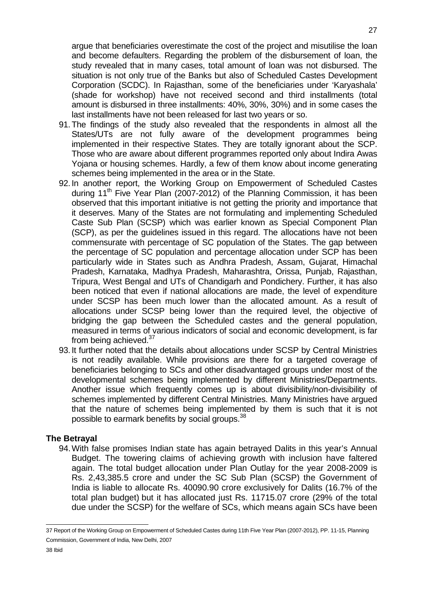argue that beneficiaries overestimate the cost of the project and misutilise the loan and become defaulters. Regarding the problem of the disbursement of loan, the study revealed that in many cases, total amount of loan was not disbursed. The situation is not only true of the Banks but also of Scheduled Castes Development Corporation (SCDC). In Rajasthan, some of the beneficiaries under 'Karyashala' (shade for workshop) have not received second and third installments (total amount is disbursed in three installments: 40%, 30%, 30%) and in some cases the last installments have not been released for last two years or so.

- 91. The findings of the study also revealed that the respondents in almost all the States/UTs are not fully aware of the development programmes being implemented in their respective States. They are totally ignorant about the SCP. Those who are aware about different programmes reported only about Indira Awas Yojana or housing schemes. Hardly, a few of them know about income generating schemes being implemented in the area or in the State.
- 92. In another report, the Working Group on Empowerment of Scheduled Castes during  $11<sup>th</sup>$  Five Year Plan (2007-2012) of the Planning Commission, it has been observed that this important initiative is not getting the priority and importance that it deserves. Many of the States are not formulating and implementing Scheduled Caste Sub Plan (SCSP) which was earlier known as Special Component Plan (SCP), as per the guidelines issued in this regard. The allocations have not been commensurate with percentage of SC population of the States. The gap between the percentage of SC population and percentage allocation under SCP has been particularly wide in States such as Andhra Pradesh, Assam, Gujarat, Himachal Pradesh, Karnataka, Madhya Pradesh, Maharashtra, Orissa, Punjab, Rajasthan, Tripura, West Bengal and UTs of Chandigarh and Pondichery. Further, it has also been noticed that even if national allocations are made, the level of expenditure under SCSP has been much lower than the allocated amount. As a result of allocations under SCSP being lower than the required level, the objective of bridging the gap between the Scheduled castes and the general population, measured in terms of various indicators of social and economic development, is far from being achieved.<sup>37</sup>
- 93. It further noted that the details about allocations under SCSP by Central Ministries is not readily available. While provisions are there for a targeted coverage of beneficiaries belonging to SCs and other disadvantaged groups under most of the developmental schemes being implemented by different Ministries/Departments. Another issue which frequently comes up is about divisibility/non-divisibility of schemes implemented by different Central Ministries. Many Ministries have argued that the nature of schemes being implemented by them is such that it is not possible to earmark benefits by social groups.<sup>38</sup>

#### **The Betrayal**

94. With false promises Indian state has again betrayed Dalits in this year's Annual Budget. The towering claims of achieving growth with inclusion have faltered again. The total budget allocation under Plan Outlay for the year 2008-2009 is Rs. 2,43,385.5 crore and under the SC Sub Plan (SCSP) the Government of India is liable to allocate Rs. 40090.90 crore exclusively for Dalits (16.7% of the total plan budget) but it has allocated just Rs. 11715.07 crore (29% of the total due under the SCSP) for the welfare of SCs, which means again SCs have been

 37 Report of the Working Group on Empowerment of Scheduled Castes during 11th Five Year Plan (2007-2012), PP. 11-15, Planning Commission, Government of India, New Delhi, 2007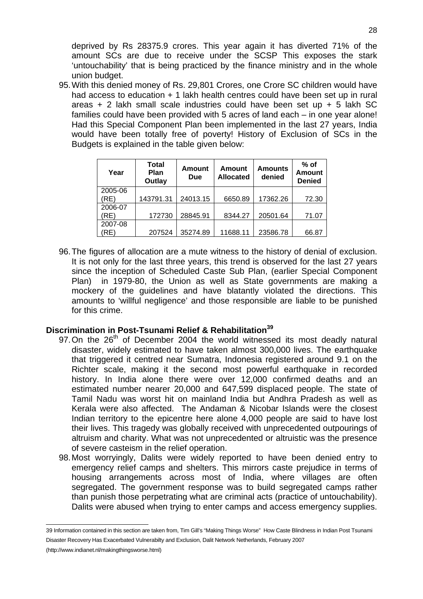deprived by Rs 28375.9 crores. This year again it has diverted 71% of the amount SCs are due to receive under the SCSP This exposes the stark 'untouchability' that is being practiced by the finance ministry and in the whole union budget.

95. With this denied money of Rs. 29,801 Crores, one Crore SC children would have had access to education + 1 lakh health centres could have been set up in rural areas + 2 lakh small scale industries could have been set up + 5 lakh SC families could have been provided with 5 acres of land each – in one year alone! Had this Special Component Plan been implemented in the last 27 years, India would have been totally free of poverty! History of Exclusion of SCs in the Budgets is explained in the table given below:

| Year    | <b>Total</b><br>Plan<br>Outlay | <b>Amount</b><br><b>Due</b> | <b>Amount</b><br><b>Allocated</b> | <b>Amounts</b><br>denied | $%$ of<br>Amount<br><b>Denied</b> |
|---------|--------------------------------|-----------------------------|-----------------------------------|--------------------------|-----------------------------------|
| 2005-06 |                                |                             |                                   |                          |                                   |
| (RE)    | 143791.31                      | 24013.15                    | 6650.89                           | 17362.26                 | 72.30                             |
| 2006-07 |                                |                             |                                   |                          |                                   |
| (RE)    | 172730                         | 28845.91                    | 8344.27                           | 20501.64                 | 71.07                             |
| 2007-08 |                                |                             |                                   |                          |                                   |
| RE)     | 207524                         | 35274.89                    | 11688.11                          | 23586.78                 | 66.87                             |

96. The figures of allocation are a mute witness to the history of denial of exclusion. It is not only for the last three years, this trend is observed for the last 27 years since the inception of Scheduled Caste Sub Plan, (earlier Special Component Plan) in 1979-80, the Union as well as State governments are making a mockery of the guidelines and have blatantly violated the directions. This amounts to 'willful negligence' and those responsible are liable to be punished for this crime.

## **Discrimination in Post-Tsunami Relief & Rehabilitation<sup>39</sup>**

- 97. On the  $26<sup>th</sup>$  of December 2004 the world witnessed its most deadly natural disaster, widely estimated to have taken almost 300,000 lives. The earthquake that triggered it centred near Sumatra, Indonesia registered around 9.1 on the Richter scale, making it the second most powerful earthquake in recorded history. In India alone there were over 12,000 confirmed deaths and an estimated number nearer 20,000 and 647,599 displaced people. The state of Tamil Nadu was worst hit on mainland India but Andhra Pradesh as well as Kerala were also affected. The Andaman & Nicobar Islands were the closest Indian territory to the epicentre here alone 4,000 people are said to have lost their lives. This tragedy was globally received with unprecedented outpourings of altruism and charity. What was not unprecedented or altruistic was the presence of severe casteism in the relief operation.
- 98. Most worryingly, Dalits were widely reported to have been denied entry to emergency relief camps and shelters. This mirrors caste prejudice in terms of housing arrangements across most of India, where villages are often segregated. The government response was to build segregated camps rather than punish those perpetrating what are criminal acts (practice of untouchability). Dalits were abused when trying to enter camps and access emergency supplies.

 39 Information contained in this section are taken from, Tim Gill's "Making Things Worse" How Caste Blindness in Indian Post Tsunami Disaster Recovery Has Exacerbated Vulnerabilty and Exclusion, Dalit Network Netherlands, February 2007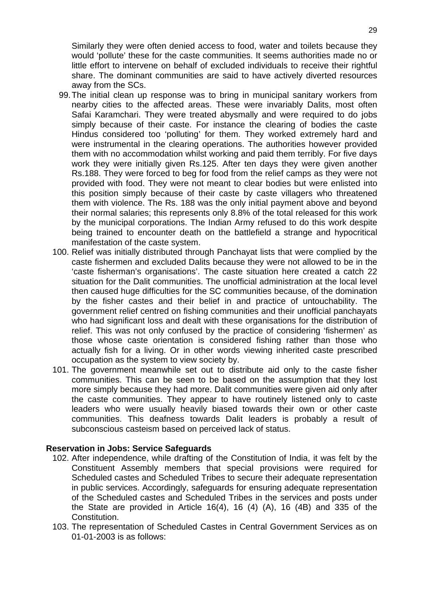Similarly they were often denied access to food, water and toilets because they would 'pollute' these for the caste communities. It seems authorities made no or little effort to intervene on behalf of excluded individuals to receive their rightful share. The dominant communities are said to have actively diverted resources away from the SCs.

- 99. The initial clean up response was to bring in municipal sanitary workers from nearby cities to the affected areas. These were invariably Dalits, most often Safai Karamchari. They were treated abysmally and were required to do jobs simply because of their caste. For instance the clearing of bodies the caste Hindus considered too 'polluting' for them. They worked extremely hard and were instrumental in the clearing operations. The authorities however provided them with no accommodation whilst working and paid them terribly. For five days work they were initially given Rs.125. After ten days they were given another Rs.188. They were forced to beg for food from the relief camps as they were not provided with food. They were not meant to clear bodies but were enlisted into this position simply because of their caste by caste villagers who threatened them with violence. The Rs. 188 was the only initial payment above and beyond their normal salaries; this represents only 8.8% of the total released for this work by the municipal corporations. The Indian Army refused to do this work despite being trained to encounter death on the battlefield a strange and hypocritical manifestation of the caste system.
- 100. Relief was initially distributed through Panchayat lists that were complied by the caste fishermen and excluded Dalits because they were not allowed to be in the 'caste fisherman's organisations'. The caste situation here created a catch 22 situation for the Dalit communities. The unofficial administration at the local level then caused huge difficulties for the SC communities because, of the domination by the fisher castes and their belief in and practice of untouchability. The government relief centred on fishing communities and their unofficial panchayats who had significant loss and dealt with these organisations for the distribution of relief. This was not only confused by the practice of considering 'fishermen' as those whose caste orientation is considered fishing rather than those who actually fish for a living. Or in other words viewing inherited caste prescribed occupation as the system to view society by.
- 101. The government meanwhile set out to distribute aid only to the caste fisher communities. This can be seen to be based on the assumption that they lost more simply because they had more. Dalit communities were given aid only after the caste communities. They appear to have routinely listened only to caste leaders who were usually heavily biased towards their own or other caste communities. This deafness towards Dalit leaders is probably a result of subconscious casteism based on perceived lack of status.

#### **Reservation in Jobs: Service Safeguards**

- 102. After independence, while drafting of the Constitution of India, it was felt by the Constituent Assembly members that special provisions were required for Scheduled castes and Scheduled Tribes to secure their adequate representation in public services. Accordingly, safeguards for ensuring adequate representation of the Scheduled castes and Scheduled Tribes in the services and posts under the State are provided in Article 16(4), 16 (4) (A), 16 (4B) and 335 of the Constitution.
- 103. The representation of Scheduled Castes in Central Government Services as on 01-01-2003 is as follows: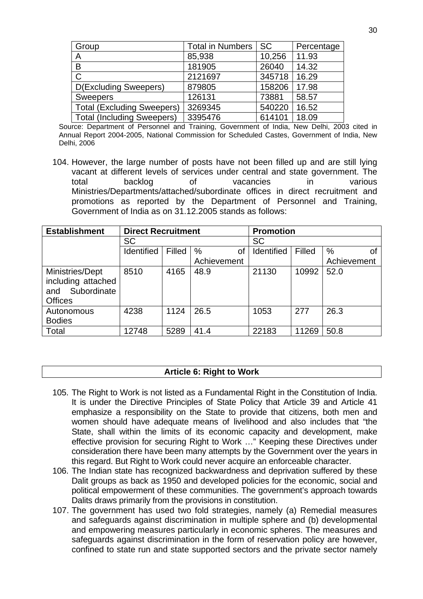| Group                             | <b>Total in Numbers</b> | SC l   | Percentage |
|-----------------------------------|-------------------------|--------|------------|
| A                                 | 85,938                  | 10,256 | 11.93      |
| B                                 | 181905                  | 26040  | 14.32      |
| $\mathsf C$                       | 2121697                 | 345718 | 16.29      |
| <b>D(Excluding Sweepers)</b>      | 879805                  | 158206 | 17.98      |
| <b>Sweepers</b>                   | 126131                  | 73881  | 58.57      |
| <b>Total (Excluding Sweepers)</b> | 3269345                 | 540220 | 16.52      |
| <b>Total (Including Sweepers)</b> | 3395476                 | 614101 | 18.09      |

Source: Department of Personnel and Training, Government of India, New Delhi, 2003 cited in Annual Report 2004-2005, National Commission for Scheduled Castes, Government of India, New Delhi, 2006

104. However, the large number of posts have not been filled up and are still lying vacant at different levels of services under central and state government. The total backlog of vacancies in various Ministries/Departments/attached/subordinate offices in direct recruitment and promotions as reported by the Department of Personnel and Training, Government of India as on 31.12.2005 stands as follows:

| <b>Establishment</b>                                                          | <b>Direct Recruitment</b> |        |             | <b>Promotion</b> |        |             |
|-------------------------------------------------------------------------------|---------------------------|--------|-------------|------------------|--------|-------------|
|                                                                               | <b>SC</b>                 |        |             | <b>SC</b>        |        |             |
|                                                                               | Identified                | Filled | %<br>οf     | Identified       | Filled | $\%$<br>Ωf  |
|                                                                               |                           |        | Achievement |                  |        | Achievement |
| Ministries/Dept<br>including attached<br>Subordinate<br>and<br><b>Offices</b> | 8510                      | 4165   | 48.9        | 21130            | 10992  | 52.0        |
| Autonomous<br><b>Bodies</b>                                                   | 4238                      | 1124   | 26.5        | 1053             | 277    | 26.3        |
| Total                                                                         | 12748                     | 5289   | 41.4        | 22183            | 11269  | 50.8        |

#### **Article 6: Right to Work**

- 105. The Right to Work is not listed as a Fundamental Right in the Constitution of India. It is under the Directive Principles of State Policy that Article 39 and Article 41 emphasize a responsibility on the State to provide that citizens, both men and women should have adequate means of livelihood and also includes that "the State, shall within the limits of its economic capacity and development, make effective provision for securing Right to Work …" Keeping these Directives under consideration there have been many attempts by the Government over the years in this regard. But Right to Work could never acquire an enforceable character.
- 106. The Indian state has recognized backwardness and deprivation suffered by these Dalit groups as back as 1950 and developed policies for the economic, social and political empowerment of these communities. The government's approach towards Dalits draws primarily from the provisions in constitution.
- 107. The government has used two fold strategies, namely (a) Remedial measures and safeguards against discrimination in multiple sphere and (b) developmental and empowering measures particularly in economic spheres. The measures and safeguards against discrimination in the form of reservation policy are however, confined to state run and state supported sectors and the private sector namely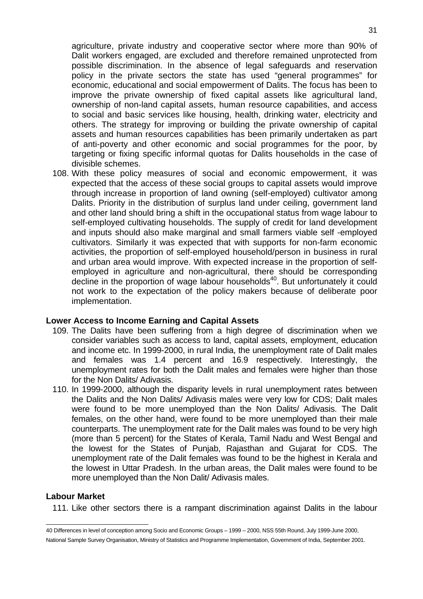agriculture, private industry and cooperative sector where more than 90% of Dalit workers engaged, are excluded and therefore remained unprotected from possible discrimination. In the absence of legal safeguards and reservation policy in the private sectors the state has used "general programmes" for economic, educational and social empowerment of Dalits. The focus has been to improve the private ownership of fixed capital assets like agricultural land, ownership of non-land capital assets, human resource capabilities, and access to social and basic services like housing, health, drinking water, electricity and others. The strategy for improving or building the private ownership of capital assets and human resources capabilities has been primarily undertaken as part of anti-poverty and other economic and social programmes for the poor, by targeting or fixing specific informal quotas for Dalits households in the case of divisible schemes.

108. With these policy measures of social and economic empowerment, it was expected that the access of these social groups to capital assets would improve through increase in proportion of land owning (self-employed) cultivator among Dalits. Priority in the distribution of surplus land under ceiling, government land and other land should bring a shift in the occupational status from wage labour to self-employed cultivating households. The supply of credit for land development and inputs should also make marginal and small farmers viable self -employed cultivators. Similarly it was expected that with supports for non-farm economic activities, the proportion of self-employed household/person in business in rural and urban area would improve. With expected increase in the proportion of selfemployed in agriculture and non-agricultural, there should be corresponding  $\det$  decline in the proportion of wage labour households<sup>40</sup>. But unfortunately it could not work to the expectation of the policy makers because of deliberate poor implementation.

#### **Lower Access to Income Earning and Capital Assets**

- 109. The Dalits have been suffering from a high degree of discrimination when we consider variables such as access to land, capital assets, employment, education and income etc. In 1999-2000, in rural India, the unemployment rate of Dalit males and females was 1.4 percent and 16.9 respectively. Interestingly, the unemployment rates for both the Dalit males and females were higher than those for the Non Dalits/ Adivasis.
- 110. In 1999-2000, although the disparity levels in rural unemployment rates between the Dalits and the Non Dalits/ Adivasis males were very low for CDS; Dalit males were found to be more unemployed than the Non Dalits/ Adivasis. The Dalit females, on the other hand, were found to be more unemployed than their male counterparts. The unemployment rate for the Dalit males was found to be very high (more than 5 percent) for the States of Kerala, Tamil Nadu and West Bengal and the lowest for the States of Punjab, Rajasthan and Gujarat for CDS. The unemployment rate of the Dalit females was found to be the highest in Kerala and the lowest in Uttar Pradesh. In the urban areas, the Dalit males were found to be more unemployed than the Non Dalit/ Adivasis males.

## **Labour Market**

111. Like other sectors there is a rampant discrimination against Dalits in the labour

 40 Differences in level of conception among Socio and Economic Groups – 1999 – 2000, NSS 55th Round, July 1999-June 2000, National Sample Survey Organisation, Ministry of Statistics and Programme Implementation, Government of India, September 2001.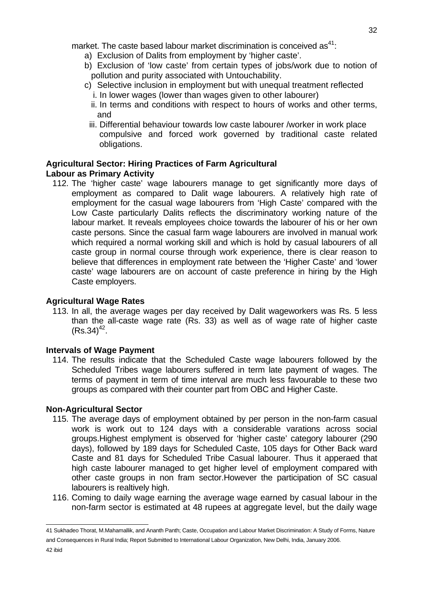- a) Exclusion of Dalits from employment by 'higher caste'.
- b) Exclusion of 'low caste' from certain types of jobs/work due to notion of pollution and purity associated with Untouchability.
- c) Selective inclusion in employment but with unequal treatment reflected
	- i. In lower wages (lower than wages given to other labourer)
	- ii. In terms and conditions with respect to hours of works and other terms, and
- iii. Differential behaviour towards low caste labourer /worker in work place compulsive and forced work governed by traditional caste related obligations.

## **Agricultural Sector: Hiring Practices of Farm Agricultural Labour as Primary Activity**

112. The 'higher caste' wage labourers manage to get significantly more days of employment as compared to Dalit wage labourers. A relatively high rate of employment for the casual wage labourers from 'High Caste' compared with the Low Caste particularly Dalits reflects the discriminatory working nature of the labour market. It reveals employees choice towards the labourer of his or her own caste persons. Since the casual farm wage labourers are involved in manual work which required a normal working skill and which is hold by casual labourers of all caste group in normal course through work experience, there is clear reason to believe that differences in employment rate between the 'Higher Caste' and 'lower caste' wage labourers are on account of caste preference in hiring by the High Caste employers.

## **Agricultural Wage Rates**

113. In all, the average wages per day received by Dalit wageworkers was Rs. 5 less than the all-caste wage rate (Rs. 33) as well as of wage rate of higher caste  $(Rs.34)^{42}$ .

## **Intervals of Wage Payment**

114. The results indicate that the Scheduled Caste wage labourers followed by the Scheduled Tribes wage labourers suffered in term late payment of wages. The terms of payment in term of time interval are much less favourable to these two groups as compared with their counter part from OBC and Higher Caste.

## **Non-Agricultural Sector**

- 115. The average days of employment obtained by per person in the non-farm casual work is work out to 124 days with a considerable varations across social groups.Highest emplyment is observed for 'higher caste' category labourer (290 days), followed by 189 days for Scheduled Caste, 105 days for Other Back ward Caste and 81 days for Scheduled Tribe Casual labourer. Thus it apperaed that high caste labourer managed to get higher level of employment compared with other caste groups in non fram sector.However the participation of SC casual labourers is realtively high.
- 116. Coming to daily wage earning the average wage earned by casual labour in the non-farm sector is estimated at 48 rupees at aggregate level, but the daily wage

 41 Sukhadeo Thorat, M.Mahamallik, and Ananth Panth; Caste, Occupation and Labour Market Discrimination: A Study of Forms, Nature and Consequences in Rural India; Report Submitted to International Labour Organization, New Delhi, India, January 2006.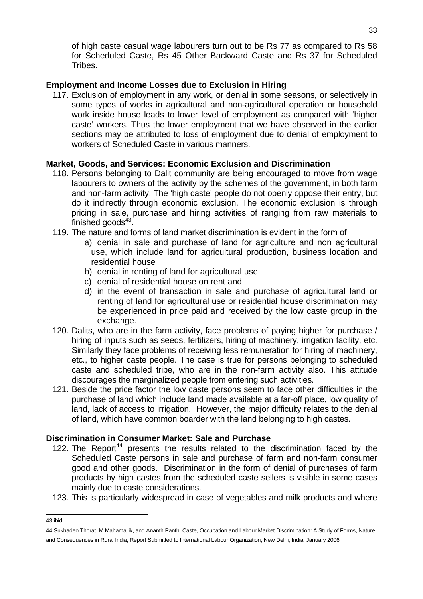of high caste casual wage labourers turn out to be Rs 77 as compared to Rs 58 for Scheduled Caste, Rs 45 Other Backward Caste and Rs 37 for Scheduled Tribes.

## **Employment and Income Losses due to Exclusion in Hiring**

117. Exclusion of employment in any work, or denial in some seasons, or selectively in some types of works in agricultural and non-agricultural operation or household work inside house leads to lower level of employment as compared with 'higher caste' workers. Thus the lower employment that we have observed in the earlier sections may be attributed to loss of employment due to denial of employment to workers of Scheduled Caste in various manners.

## **Market, Goods, and Services: Economic Exclusion and Discrimination**

- 118. Persons belonging to Dalit community are being encouraged to move from wage labourers to owners of the activity by the schemes of the government, in both farm and non-farm activity. The 'high caste' people do not openly oppose their entry, but do it indirectly through economic exclusion. The economic exclusion is through pricing in sale, purchase and hiring activities of ranging from raw materials to finished goods $43$ .
- 119. The nature and forms of land market discrimination is evident in the form of
	- a) denial in sale and purchase of land for agriculture and non agricultural use, which include land for agricultural production, business location and residential house
	- b) denial in renting of land for agricultural use
	- c) denial of residential house on rent and
	- d) in the event of transaction in sale and purchase of agricultural land or renting of land for agricultural use or residential house discrimination may be experienced in price paid and received by the low caste group in the exchange.
- 120. Dalits, who are in the farm activity, face problems of paying higher for purchase / hiring of inputs such as seeds, fertilizers, hiring of machinery, irrigation facility, etc. Similarly they face problems of receiving less remuneration for hiring of machinery, etc., to higher caste people. The case is true for persons belonging to scheduled caste and scheduled tribe, who are in the non-farm activity also. This attitude discourages the marginalized people from entering such activities.
- 121. Beside the price factor the low caste persons seem to face other difficulties in the purchase of land which include land made available at a far-off place, low quality of land, lack of access to irrigation. However, the major difficulty relates to the denial of land, which have common boarder with the land belonging to high castes.

## **Discrimination in Consumer Market: Sale and Purchase**

- 122. The Report<sup>44</sup> presents the results related to the discrimination faced by the Scheduled Caste persons in sale and purchase of farm and non-farm consumer good and other goods. Discrimination in the form of denial of purchases of farm products by high castes from the scheduled caste sellers is visible in some cases mainly due to caste considerations.
- 123. This is particularly widespread in case of vegetables and milk products and where

 43 ibid

<sup>44</sup> Sukhadeo Thorat, M.Mahamallik, and Ananth Panth; Caste, Occupation and Labour Market Discrimination: A Study of Forms, Nature and Consequences in Rural India; Report Submitted to International Labour Organization, New Delhi, India, January 2006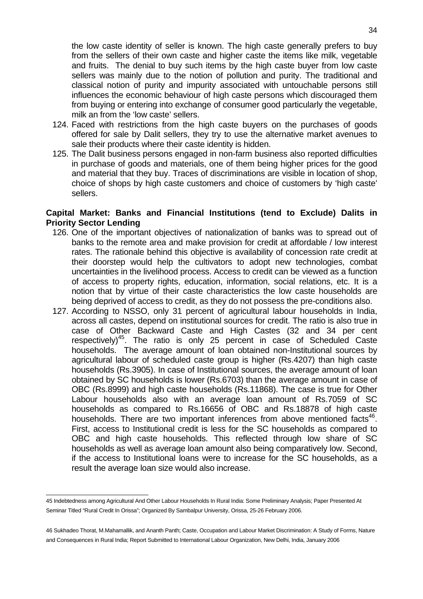the low caste identity of seller is known. The high caste generally prefers to buy from the sellers of their own caste and higher caste the items like milk, vegetable and fruits. The denial to buy such items by the high caste buyer from low caste sellers was mainly due to the notion of pollution and purity. The traditional and classical notion of purity and impurity associated with untouchable persons still influences the economic behaviour of high caste persons which discouraged them from buying or entering into exchange of consumer good particularly the vegetable, milk an from the 'low caste' sellers.

- 124. Faced with restrictions from the high caste buyers on the purchases of goods offered for sale by Dalit sellers, they try to use the alternative market avenues to sale their products where their caste identity is hidden.
- 125. The Dalit business persons engaged in non-farm business also reported difficulties in purchase of goods and materials, one of them being higher prices for the good and material that they buy. Traces of discriminations are visible in location of shop, choice of shops by high caste customers and choice of customers by 'high caste' sellers.

#### **Capital Market: Banks and Financial Institutions (tend to Exclude) Dalits in Priority Sector Lending**

- 126. One of the important objectives of nationalization of banks was to spread out of banks to the remote area and make provision for credit at affordable / low interest rates. The rationale behind this objective is availability of concession rate credit at their doorstep would help the cultivators to adopt new technologies, combat uncertainties in the livelihood process. Access to credit can be viewed as a function of access to property rights, education, information, social relations, etc. It is a notion that by virtue of their caste characteristics the low caste households are being deprived of access to credit, as they do not possess the pre-conditions also.
- 127. According to NSSO, only 31 percent of agricultural labour households in India, across all castes, depend on institutional sources for credit. The ratio is also true in case of Other Backward Caste and High Castes (32 and 34 per cent respectively)<sup>45</sup>. The ratio is only 25 percent in case of Scheduled Caste households. The average amount of loan obtained non-Institutional sources by agricultural labour of scheduled caste group is higher (Rs.4207) than high caste households (Rs.3905). In case of Institutional sources, the average amount of loan obtained by SC households is lower (Rs.6703) than the average amount in case of OBC (Rs.8999) and high caste households (Rs.11868). The case is true for Other Labour households also with an average loan amount of Rs.7059 of SC households as compared to Rs.16656 of OBC and Rs.18878 of high caste households. There are two important inferences from above mentioned facts<sup>46</sup>. First, access to Institutional credit is less for the SC households as compared to OBC and high caste households. This reflected through low share of SC households as well as average loan amount also being comparatively low. Second, if the access to Institutional loans were to increase for the SC households, as a result the average loan size would also increase.

 45 Indebtedness among Agricultural And Other Labour Households In Rural India: Some Preliminary Analysis; Paper Presented At Seminar Titled "Rural Credit In Orissa"; Organized By Sambalpur University, Orissa, 25-26 February 2006.

<sup>46</sup> Sukhadeo Thorat, M.Mahamallik, and Ananth Panth; Caste, Occupation and Labour Market Discrimination: A Study of Forms, Nature and Consequences in Rural India; Report Submitted to International Labour Organization, New Delhi, India, January 2006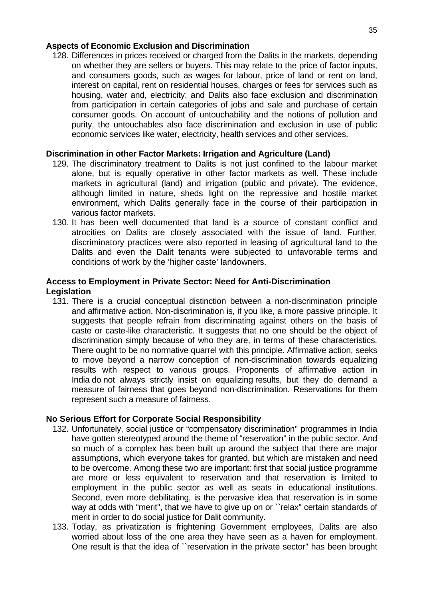#### **Aspects of Economic Exclusion and Discrimination**

128. Differences in prices received or charged from the Dalits in the markets, depending on whether they are sellers or buyers. This may relate to the price of factor inputs, and consumers goods, such as wages for labour, price of land or rent on land, interest on capital, rent on residential houses, charges or fees for services such as housing, water and, electricity; and Dalits also face exclusion and discrimination from participation in certain categories of jobs and sale and purchase of certain consumer goods. On account of untouchability and the notions of pollution and purity, the untouchables also face discrimination and exclusion in use of public economic services like water, electricity, health services and other services.

#### **Discrimination in other Factor Markets: Irrigation and Agriculture (Land)**

- 129. The discriminatory treatment to Dalits is not just confined to the labour market alone, but is equally operative in other factor markets as well. These include markets in agricultural (land) and irrigation (public and private). The evidence, although limited in nature, sheds light on the repressive and hostile market environment, which Dalits generally face in the course of their participation in various factor markets.
- 130. It has been well documented that land is a source of constant conflict and atrocities on Dalits are closely associated with the issue of land. Further, discriminatory practices were also reported in leasing of agricultural land to the Dalits and even the Dalit tenants were subjected to unfavorable terms and conditions of work by the 'higher caste' landowners.

## **Access to Employment in Private Sector: Need for Anti-Discrimination Legislation**

131. There is a crucial conceptual distinction between a non-discrimination principle and affirmative action. Non-discrimination is, if you like, a more passive principle. It suggests that people refrain from discriminating against others on the basis of caste or caste-like characteristic. It suggests that no one should be the object of discrimination simply because of who they are, in terms of these characteristics. There ought to be no normative quarrel with this principle. Affirmative action, seeks to move beyond a narrow conception of non-discrimination towards equalizing results with respect to various groups. Proponents of affirmative action in India do not always strictly insist on equalizing results, but they do demand a measure of fairness that goes beyond non-discrimination. Reservations for them represent such a measure of fairness.

## **No Serious Effort for Corporate Social Responsibility**

- 132. Unfortunately, social justice or "compensatory discrimination'' programmes in India have gotten stereotyped around the theme of "reservation'' in the public sector. And so much of a complex has been built up around the subject that there are major assumptions, which everyone takes for granted, but which are mistaken and need to be overcome. Among these two are important: first that social justice programme are more or less equivalent to reservation and that reservation is limited to employment in the public sector as well as seats in educational institutions. Second, even more debilitating, is the pervasive idea that reservation is in some way at odds with "merit", that we have to give up on or ``relax" certain standards of merit in order to do social justice for Dalit community.
- 133. Today, as privatization is frightening Government employees, Dalits are also worried about loss of the one area they have seen as a haven for employment. One result is that the idea of ``reservation in the private sector'' has been brought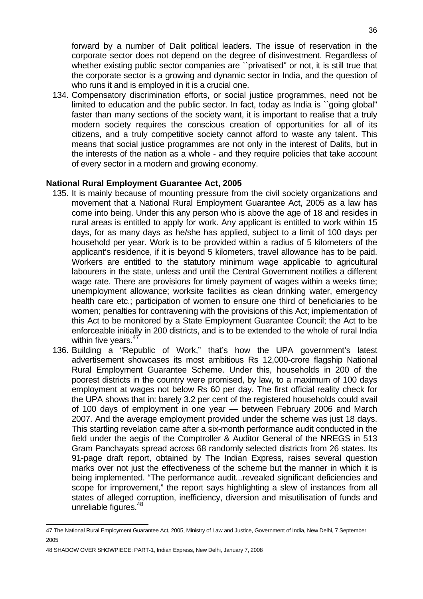forward by a number of Dalit political leaders. The issue of reservation in the corporate sector does not depend on the degree of disinvestment. Regardless of whether existing public sector companies are ``privatised'' or not, it is still true that the corporate sector is a growing and dynamic sector in India, and the question of who runs it and is employed in it is a crucial one.

134. Compensatory discrimination efforts, or social justice programmes, need not be limited to education and the public sector. In fact, today as India is ``going global'' faster than many sections of the society want, it is important to realise that a truly modern society requires the conscious creation of opportunities for all of its citizens, and a truly competitive society cannot afford to waste any talent. This means that social justice programmes are not only in the interest of Dalits, but in the interests of the nation as a whole - and they require policies that take account of every sector in a modern and growing economy.

## **National Rural Employment Guarantee Act, 2005**

- 135. It is mainly because of mounting pressure from the civil society organizations and movement that a National Rural Employment Guarantee Act, 2005 as a law has come into being. Under this any person who is above the age of 18 and resides in rural areas is entitled to apply for work. Any applicant is entitled to work within 15 days, for as many days as he/she has applied, subject to a limit of 100 days per household per year. Work is to be provided within a radius of 5 kilometers of the applicant's residence, if it is beyond 5 kilometers, travel allowance has to be paid. Workers are entitled to the statutory minimum wage applicable to agricultural labourers in the state, unless and until the Central Government notifies a different wage rate. There are provisions for timely payment of wages within a weeks time; unemployment allowance; worksite facilities as clean drinking water, emergency health care etc.; participation of women to ensure one third of beneficiaries to be women; penalties for contravening with the provisions of this Act; implementation of this Act to be monitored by a State Employment Guarantee Council; the Act to be enforceable initially in 200 districts, and is to be extended to the whole of rural India within five years.<sup>47</sup>
- 136. Building a "Republic of Work," that's how the UPA government's latest advertisement showcases its most ambitious Rs 12,000-crore flagship National Rural Employment Guarantee Scheme. Under this, households in 200 of the poorest districts in the country were promised, by law, to a maximum of 100 days employment at wages not below Rs 60 per day. The first official reality check for the UPA shows that in: barely 3.2 per cent of the registered households could avail of 100 days of employment in one year — between February 2006 and March 2007. And the average employment provided under the scheme was just 18 days. This startling revelation came after a six-month performance audit conducted in the field under the aegis of the Comptroller & Auditor General of the NREGS in 513 Gram Panchayats spread across 68 randomly selected districts from 26 states. Its 91-page draft report, obtained by The Indian Express, raises several question marks over not just the effectiveness of the scheme but the manner in which it is being implemented. "The performance audit...revealed significant deficiencies and scope for improvement," the report says highlighting a slew of instances from all states of alleged corruption, inefficiency, diversion and misutilisation of funds and unreliable figures.<sup>48</sup>

 47 The National Rural Employment Guarantee Act, 2005, Ministry of Law and Justice, Government of India, New Delhi, 7 September 2005

<sup>48</sup> SHADOW OVER SHOWPIECE: PART-1, Indian Express, New Delhi, January 7, 2008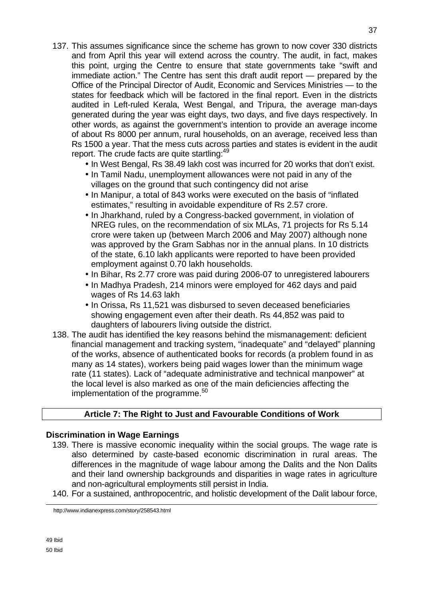- 137. This assumes significance since the scheme has grown to now cover 330 districts and from April this year will extend across the country. The audit, in fact, makes this point, urging the Centre to ensure that state governments take "swift and immediate action." The Centre has sent this draft audit report — prepared by the Office of the Principal Director of Audit, Economic and Services Ministries — to the states for feedback which will be factored in the final report. Even in the districts audited in Left-ruled Kerala, West Bengal, and Tripura, the average man-days generated during the year was eight days, two days, and five days respectively. In other words, as against the government's intention to provide an average income of about Rs 8000 per annum, rural households, on an average, received less than Rs 1500 a year. That the mess cuts across parties and states is evident in the audit report. The crude facts are quite startling:<sup>49</sup>
	- In West Bengal, Rs 38.49 lakh cost was incurred for 20 works that don't exist.
	- In Tamil Nadu, unemployment allowances were not paid in any of the villages on the ground that such contingency did not arise
	- In Manipur, a total of 843 works were executed on the basis of "inflated estimates," resulting in avoidable expenditure of Rs 2.57 crore.
	- In Jharkhand, ruled by a Congress-backed government, in violation of NREG rules, on the recommendation of six MLAs, 71 projects for Rs 5.14 crore were taken up (between March 2006 and May 2007) although none was approved by the Gram Sabhas nor in the annual plans. In 10 districts of the state, 6.10 lakh applicants were reported to have been provided employment against 0.70 lakh households.
	- In Bihar, Rs 2.77 crore was paid during 2006-07 to unregistered labourers
	- In Madhya Pradesh, 214 minors were employed for 462 days and paid wages of Rs 14.63 lakh
	- In Orissa, Rs 11,521 was disbursed to seven deceased beneficiaries showing engagement even after their death. Rs 44,852 was paid to daughters of labourers living outside the district.
- 138. The audit has identified the key reasons behind the mismanagement: deficient financial management and tracking system, "inadequate" and "delayed" planning of the works, absence of authenticated books for records (a problem found in as many as 14 states), workers being paid wages lower than the minimum wage rate (11 states). Lack of "adequate administrative and technical manpower" at the local level is also marked as one of the main deficiencies affecting the implementation of the programme. $50$

## **Article 7: The Right to Just and Favourable Conditions of Work**

## **Discrimination in Wage Earnings**

- 139. There is massive economic inequality within the social groups. The wage rate is also determined by caste-based economic discrimination in rural areas. The differences in the magnitude of wage labour among the Dalits and the Non Dalits and their land ownership backgrounds and disparities in wage rates in agriculture and non-agricultural employments still persist in India.
- 140. For a sustained, anthropocentric, and holistic development of the Dalit labour force,

http://www.indianexpress.com/story/258543.html

<u>.</u>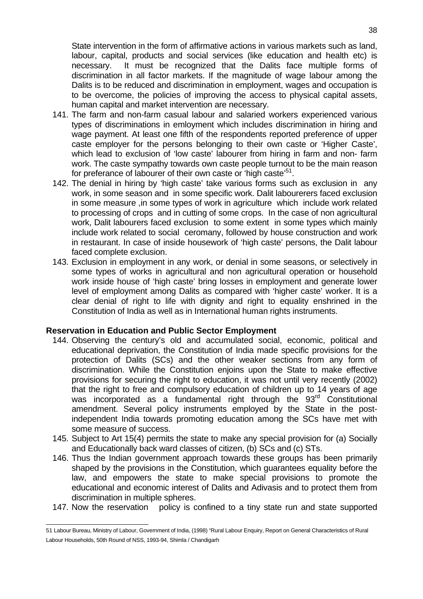State intervention in the form of affirmative actions in various markets such as land, labour, capital, products and social services (like education and health etc) is necessary. It must be recognized that the Dalits face multiple forms of discrimination in all factor markets. If the magnitude of wage labour among the Dalits is to be reduced and discrimination in employment, wages and occupation is to be overcome, the policies of improving the access to physical capital assets, human capital and market intervention are necessary.

- 141. The farm and non-farm casual labour and salaried workers experienced various types of discriminations in emloyment which includes discrimination in hiring and wage payment. At least one fifth of the respondents reported preference of upper caste employer for the persons belonging to their own caste or 'Higher Caste', which lead to exclusion of 'low caste' labourer from hiring in farm and non- farm work. The caste sympathy towards own caste people turnout to be the main reason for preferance of labourer of their own caste or 'high caste'<sup>51</sup>.
- 142. The denial in hiring by 'high caste' take various forms such as exclusion in any work, in some season and in some specific work. Dalit labourerers faced exclusion in some measure ,in some types of work in agriculture which include work related to processing of crops and in cutting of some crops. In the case of non agricultural work, Dalit labourers faced exclusion to some extent in some types which mainly include work related to social ceromany, followed by house construction and work in restaurant. In case of inside housework of 'high caste' persons, the Dalit labour faced complete exclusion.
- 143. Exclusion in employment in any work, or denial in some seasons, or selectively in some types of works in agricultural and non agricultural operation or household work inside house of 'high caste' bring losses in employment and generate lower level of employment among Dalits as compared with 'higher caste' worker. It is a clear denial of right to life with dignity and right to equality enshrined in the Constitution of India as well as in International human rights instruments.

#### **Reservation in Education and Public Sector Employment**

- 144. Observing the century's old and accumulated social, economic, political and educational deprivation, the Constitution of India made specific provisions for the protection of Dalits (SCs) and the other weaker sections from any form of discrimination. While the Constitution enjoins upon the State to make effective provisions for securing the right to education, it was not until very recently (2002) that the right to free and compulsory education of children up to 14 years of age was incorporated as a fundamental right through the 93<sup>rd</sup> Constitutional amendment. Several policy instruments employed by the State in the postindependent India towards promoting education among the SCs have met with some measure of success.
- 145. Subject to Art 15(4) permits the state to make any special provision for (a) Socially and Educationally back ward classes of citizen, (b) SCs and (c) STs.
- 146. Thus the Indian government approach towards these groups has been primarily shaped by the provisions in the Constitution, which guarantees equality before the law, and empowers the state to make special provisions to promote the educational and economic interest of Dalits and Adivasis and to protect them from discrimination in multiple spheres.
- 147. Now the reservation policy is confined to a tiny state run and state supported

 51 Labour Bureau, Ministry of Labour, Government of India, (1998) "Rural Labour Enquiry, Report on General Characteristics of Rural Labour Households, 50th Round of NSS, 1993-94, Shimla / Chandigarh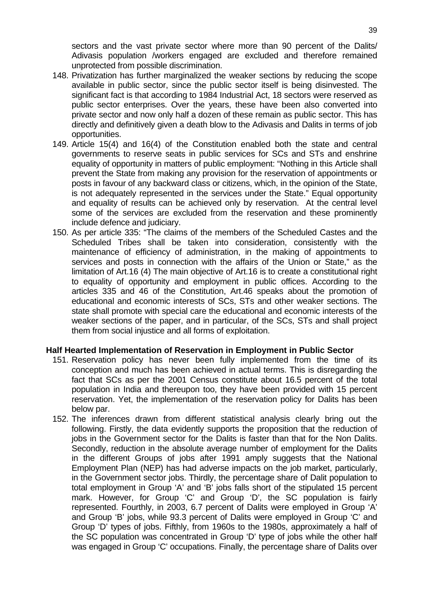sectors and the vast private sector where more than 90 percent of the Dalits/ Adivasis population /workers engaged are excluded and therefore remained unprotected from possible discrimination.

- 148. Privatization has further marginalized the weaker sections by reducing the scope available in public sector, since the public sector itself is being disinvested. The significant fact is that according to 1984 Industrial Act, 18 sectors were reserved as public sector enterprises. Over the years, these have been also converted into private sector and now only half a dozen of these remain as public sector. This has directly and definitively given a death blow to the Adivasis and Dalits in terms of job opportunities.
- 149. Article 15(4) and 16(4) of the Constitution enabled both the state and central governments to reserve seats in public services for SCs and STs and enshrine equality of opportunity in matters of public employment: "Nothing in this Article shall prevent the State from making any provision for the reservation of appointments or posts in favour of any backward class or citizens, which, in the opinion of the State, is not adequately represented in the services under the State." Equal opportunity and equality of results can be achieved only by reservation. At the central level some of the services are excluded from the reservation and these prominently include defence and judiciary.
- 150. As per article 335: "The claims of the members of the Scheduled Castes and the Scheduled Tribes shall be taken into consideration, consistently with the maintenance of efficiency of administration, in the making of appointments to services and posts in connection with the affairs of the Union or State," as the limitation of Art.16 (4) The main objective of Art.16 is to create a constitutional right to equality of opportunity and employment in public offices. According to the articles 335 and 46 of the Constitution, Art.46 speaks about the promotion of educational and economic interests of SCs, STs and other weaker sections. The state shall promote with special care the educational and economic interests of the weaker sections of the paper, and in particular, of the SCs, STs and shall project them from social injustice and all forms of exploitation.

#### **Half Hearted Implementation of Reservation in Employment in Public Sector**

- 151. Reservation policy has never been fully implemented from the time of its conception and much has been achieved in actual terms. This is disregarding the fact that SCs as per the 2001 Census constitute about 16.5 percent of the total population in India and thereupon too, they have been provided with 15 percent reservation. Yet, the implementation of the reservation policy for Dalits has been below par.
- 152. The inferences drawn from different statistical analysis clearly bring out the following. Firstly, the data evidently supports the proposition that the reduction of jobs in the Government sector for the Dalits is faster than that for the Non Dalits. Secondly, reduction in the absolute average number of employment for the Dalits in the different Groups of jobs after 1991 amply suggests that the National Employment Plan (NEP) has had adverse impacts on the job market, particularly, in the Government sector jobs. Thirdly, the percentage share of Dalit population to total employment in Group 'A' and 'B' jobs falls short of the stipulated 15 percent mark. However, for Group 'C' and Group 'D', the SC population is fairly represented. Fourthly, in 2003, 6.7 percent of Dalits were employed in Group 'A' and Group 'B' jobs, while 93.3 percent of Dalits were employed in Group 'C' and Group 'D' types of jobs. Fifthly, from 1960s to the 1980s, approximately a half of the SC population was concentrated in Group 'D' type of jobs while the other half was engaged in Group 'C' occupations. Finally, the percentage share of Dalits over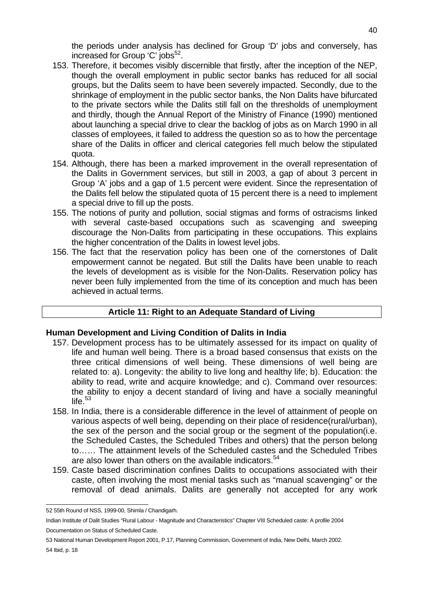the periods under analysis has declined for Group 'D' jobs and conversely, has increased for Group 'C' jobs<sup>52</sup>.

- 153. Therefore, it becomes visibly discernible that firstly, after the inception of the NEP, though the overall employment in public sector banks has reduced for all social groups, but the Dalits seem to have been severely impacted. Secondly, due to the shrinkage of employment in the public sector banks, the Non Dalits have bifurcated to the private sectors while the Dalits still fall on the thresholds of unemployment and thirdly, though the Annual Report of the Ministry of Finance (1990) mentioned about launching a special drive to clear the backlog of jobs as on March 1990 in all classes of employees, it failed to address the question so as to how the percentage share of the Dalits in officer and clerical categories fell much below the stipulated quota.
- 154. Although, there has been a marked improvement in the overall representation of the Dalits in Government services, but still in 2003, a gap of about 3 percent in Group 'A' jobs and a gap of 1.5 percent were evident. Since the representation of the Dalits fell below the stipulated quota of 15 percent there is a need to implement a special drive to fill up the posts.
- 155. The notions of purity and pollution, social stigmas and forms of ostracisms linked with several caste-based occupations such as scavenging and sweeping discourage the Non-Dalits from participating in these occupations. This explains the higher concentration of the Dalits in lowest level jobs.
- 156. The fact that the reservation policy has been one of the cornerstones of Dalit empowerment cannot be negated. But still the Dalits have been unable to reach the levels of development as is visible for the Non-Dalits. Reservation policy has never been fully implemented from the time of its conception and much has been achieved in actual terms.

## **Article 11: Right to an Adequate Standard of Living**

## **Human Development and Living Condition of Dalits in India**

- 157. Development process has to be ultimately assessed for its impact on quality of life and human well being. There is a broad based consensus that exists on the three critical dimensions of well being. These dimensions of well being are related to: a). Longevity: the ability to live long and healthy life; b). Education: the ability to read, write and acquire knowledge; and c). Command over resources: the ability to enjoy a decent standard of living and have a socially meaningful life. $53$
- 158. In India, there is a considerable difference in the level of attainment of people on various aspects of well being, depending on their place of residence(rural/urban), the sex of the person and the social group or the segment of the population(i.e. the Scheduled Castes, the Scheduled Tribes and others) that the person belong to…… The attainment levels of the Scheduled castes and the Scheduled Tribes are also lower than others on the available indicators.<sup>54</sup>
- 159. Caste based discrimination confines Dalits to occupations associated with their caste, often involving the most menial tasks such as "manual scavenging" or the removal of dead animals. Dalits are generally not accepted for any work

 52 55th Round of NSS, 1999-00, Shimla / Chandigarh.

Indian Institute of Dalit Studies "Rural Labour - Magnitude and Characteristics" Chapter VIII Scheduled caste: A profile 2004 Documentation on Status of Scheduled Caste.

<sup>53</sup> National Human Development Report 2001, P.17, Planning Commission, Government of India, New Delhi, March 2002.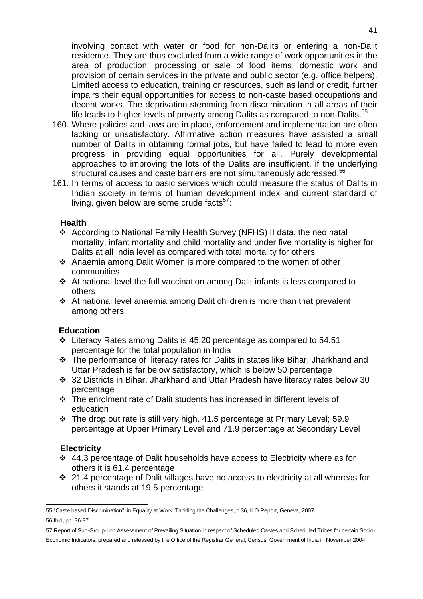involving contact with water or food for non-Dalits or entering a non-Dalit residence. They are thus excluded from a wide range of work opportunities in the area of production, processing or sale of food items, domestic work and provision of certain services in the private and public sector (e.g. office helpers). Limited access to education, training or resources, such as land or credit, further impairs their equal opportunities for access to non-caste based occupations and decent works. The deprivation stemming from discrimination in all areas of their life leads to higher levels of poverty among Dalits as compared to non-Dalits. $55$ 

- 160. Where policies and laws are in place, enforcement and implementation are often lacking or unsatisfactory. Affirmative action measures have assisted a small number of Dalits in obtaining formal jobs, but have failed to lead to more even progress in providing equal opportunities for all. Purely developmental approaches to improving the lots of the Dalits are insufficient, if the underlying structural causes and caste barriers are not simultaneously addressed.<sup>56</sup>
- 161. In terms of access to basic services which could measure the status of Dalits in Indian society in terms of human development index and current standard of living, given below are some crude facts<sup>57</sup>:

#### **Health**

- According to National Family Health Survey (NFHS) II data, the neo natal mortality, infant mortality and child mortality and under five mortality is higher for Dalits at all India level as compared with total mortality for others
- Anaemia among Dalit Women is more compared to the women of other communities
- At national level the full vaccination among Dalit infants is less compared to others
- At national level anaemia among Dalit children is more than that prevalent among others

## **Education**

- Literacy Rates among Dalits is 45.20 percentage as compared to 54.51 percentage for the total population in India
- The performance of literacy rates for Dalits in states like Bihar, Jharkhand and Uttar Pradesh is far below satisfactory, which is below 50 percentage
- 32 Districts in Bihar, Jharkhand and Uttar Pradesh have literacy rates below 30 percentage
- The enrolment rate of Dalit students has increased in different levels of education
- The drop out rate is still very high. 41.5 percentage at Primary Level; 59.9 percentage at Upper Primary Level and 71.9 percentage at Secondary Level

## **Electricity**

- 44.3 percentage of Dalit households have access to Electricity where as for others it is 61.4 percentage
- 21.4 percentage of Dalit villages have no access to electricity at all whereas for others it stands at 19.5 percentage

 55 "Caste based Discrimination", in Equality at Work: Tackling the Challenges, p.36, ILO Report, Geneva, 2007.

<sup>56</sup> Ibid, pp. 36-37

<sup>57</sup> Report of Sub-Group-I on Assessment of Prevailing Situation in respect of Scheduled Castes and Scheduled Tribes for certain Socio-Economic Indicators, prepared and released by the Office of the Registrar General, Census, Government of India in November 2004.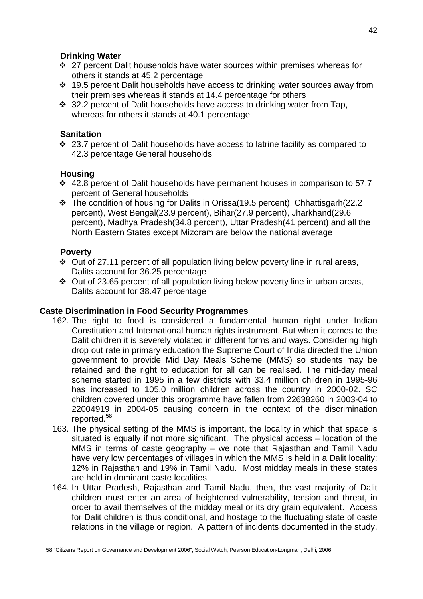## **Drinking Water**

- ❖ 27 percent Dalit households have water sources within premises whereas for others it stands at 45.2 percentage
- 19.5 percent Dalit households have access to drinking water sources away from their premises whereas it stands at 14.4 percentage for others
- ❖ 32.2 percent of Dalit households have access to drinking water from Tap, whereas for others it stands at 40.1 percentage

## **Sanitation**

 23.7 percent of Dalit households have access to latrine facility as compared to 42.3 percentage General households

## **Housing**

- 42.8 percent of Dalit households have permanent houses in comparison to 57.7 percent of General households
- \* The condition of housing for Dalits in Orissa(19.5 percent), Chhattisgarh(22.2 percent), West Bengal(23.9 percent), Bihar(27.9 percent), Jharkhand(29.6 percent), Madhya Pradesh(34.8 percent), Uttar Pradesh(41 percent) and all the North Eastern States except Mizoram are below the national average

## **Poverty**

- $\div$  Out of 27.11 percent of all population living below poverty line in rural areas, Dalits account for 36.25 percentage
- $\div$  Out of 23.65 percent of all population living below poverty line in urban areas, Dalits account for 38.47 percentage

## **Caste Discrimination in Food Security Programmes**

- 162. The right to food is considered a fundamental human right under Indian Constitution and International human rights instrument. But when it comes to the Dalit children it is severely violated in different forms and ways. Considering high drop out rate in primary education the Supreme Court of India directed the Union government to provide Mid Day Meals Scheme (MMS) so students may be retained and the right to education for all can be realised. The mid-day meal scheme started in 1995 in a few districts with 33.4 million children in 1995-96 has increased to 105.0 million children across the country in 2000-02. SC children covered under this programme have fallen from 22638260 in 2003-04 to 22004919 in 2004-05 causing concern in the context of the discrimination reported.<sup>58</sup>
- 163. The physical setting of the MMS is important, the locality in which that space is situated is equally if not more significant. The physical access – location of the MMS in terms of caste geography – we note that Rajasthan and Tamil Nadu have very low percentages of villages in which the MMS is held in a Dalit locality: 12% in Rajasthan and 19% in Tamil Nadu. Most midday meals in these states are held in dominant caste localities.
- 164. In Uttar Pradesh, Rajasthan and Tamil Nadu, then, the vast majority of Dalit children must enter an area of heightened vulnerability, tension and threat, in order to avail themselves of the midday meal or its dry grain equivalent. Access for Dalit children is thus conditional, and hostage to the fluctuating state of caste relations in the village or region. A pattern of incidents documented in the study,

 58 "Citizens Report on Governance and Development 2006", Social Watch, Pearson Education-Longman, Delhi, 2006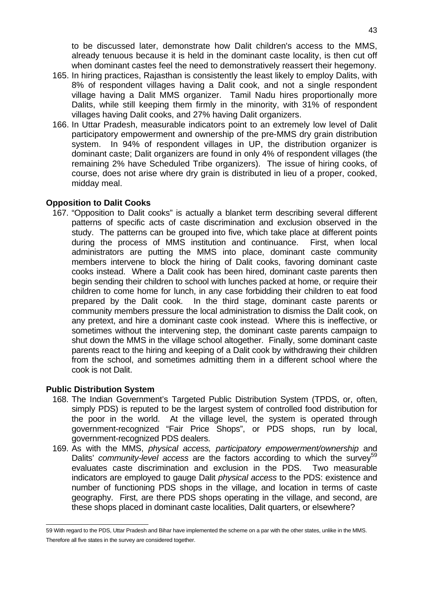to be discussed later, demonstrate how Dalit children's access to the MMS, already tenuous because it is held in the dominant caste locality, is then cut off when dominant castes feel the need to demonstratively reassert their hegemony.

- 165. In hiring practices, Rajasthan is consistently the least likely to employ Dalits, with 8% of respondent villages having a Dalit cook, and not a single respondent village having a Dalit MMS organizer. Tamil Nadu hires proportionally more Dalits, while still keeping them firmly in the minority, with 31% of respondent villages having Dalit cooks, and 27% having Dalit organizers.
- 166. In Uttar Pradesh, measurable indicators point to an extremely low level of Dalit participatory empowerment and ownership of the pre-MMS dry grain distribution system. In 94% of respondent villages in UP, the distribution organizer is dominant caste; Dalit organizers are found in only 4% of respondent villages (the remaining 2% have Scheduled Tribe organizers). The issue of hiring cooks, of course, does not arise where dry grain is distributed in lieu of a proper, cooked, midday meal.

#### **Opposition to Dalit Cooks**

167. "Opposition to Dalit cooks" is actually a blanket term describing several different patterns of specific acts of caste discrimination and exclusion observed in the study. The patterns can be grouped into five, which take place at different points during the process of MMS institution and continuance. First, when local administrators are putting the MMS into place, dominant caste community members intervene to block the hiring of Dalit cooks, favoring dominant caste cooks instead. Where a Dalit cook has been hired, dominant caste parents then begin sending their children to school with lunches packed at home, or require their children to come home for lunch, in any case forbidding their children to eat food prepared by the Dalit cook. In the third stage, dominant caste parents or community members pressure the local administration to dismiss the Dalit cook, on any pretext, and hire a dominant caste cook instead. Where this is ineffective, or sometimes without the intervening step, the dominant caste parents campaign to shut down the MMS in the village school altogether. Finally, some dominant caste parents react to the hiring and keeping of a Dalit cook by withdrawing their children from the school, and sometimes admitting them in a different school where the cook is not Dalit.

## **Public Distribution System**

- 168. The Indian Government's Targeted Public Distribution System (TPDS, or, often, simply PDS) is reputed to be the largest system of controlled food distribution for the poor in the world. At the village level, the system is operated through government-recognized "Fair Price Shops", or PDS shops, run by local, government-recognized PDS dealers.
- 169. As with the MMS, physical access, participatory empowerment/ownership and Dalits' community-level access are the factors according to which the survey<sup>59</sup> evaluates caste discrimination and exclusion in the PDS. Two measurable indicators are employed to gauge Dalit physical access to the PDS: existence and number of functioning PDS shops in the village, and location in terms of caste geography. First, are there PDS shops operating in the village, and second, are these shops placed in dominant caste localities, Dalit quarters, or elsewhere?

 59 With regard to the PDS, Uttar Pradesh and Bihar have implemented the scheme on a par with the other states, unlike in the MMS. Therefore all five states in the survey are considered together.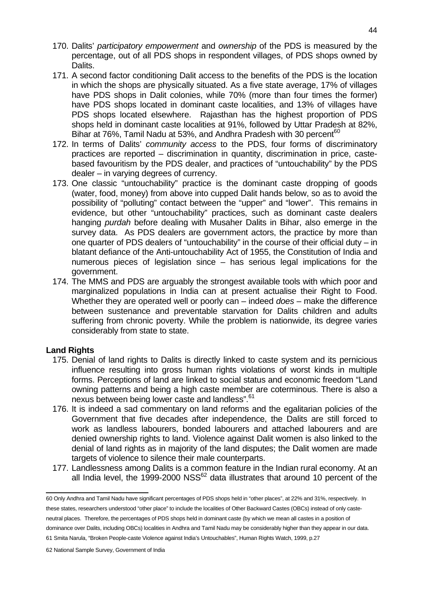- 170. Dalits' participatory empowerment and ownership of the PDS is measured by the percentage, out of all PDS shops in respondent villages, of PDS shops owned by Dalits.
- 171. A second factor conditioning Dalit access to the benefits of the PDS is the location in which the shops are physically situated. As a five state average, 17% of villages have PDS shops in Dalit colonies, while 70% (more than four times the former) have PDS shops located in dominant caste localities, and 13% of villages have PDS shops located elsewhere. Rajasthan has the highest proportion of PDS shops held in dominant caste localities at 91%, followed by Uttar Pradesh at 82%, Bihar at 76%, Tamil Nadu at 53%, and Andhra Pradesh with 30 percent<sup>60</sup>
- 172. In terms of Dalits' community access to the PDS, four forms of discriminatory practices are reported – discrimination in quantity, discrimination in price, castebased favouritism by the PDS dealer, and practices of "untouchability" by the PDS dealer – in varying degrees of currency.
- 173. One classic "untouchability" practice is the dominant caste dropping of goods (water, food, money) from above into cupped Dalit hands below, so as to avoid the possibility of "polluting" contact between the "upper" and "lower". This remains in evidence, but other "untouchability" practices, such as dominant caste dealers hanging purdah before dealing with Musaher Dalits in Bihar, also emerge in the survey data. As PDS dealers are government actors, the practice by more than one quarter of PDS dealers of "untouchability" in the course of their official duty – in blatant defiance of the Anti-untouchability Act of 1955, the Constitution of India and numerous pieces of legislation since – has serious legal implications for the government.
- 174. The MMS and PDS are arguably the strongest available tools with which poor and marginalized populations in India can at present actualise their Right to Food. Whether they are operated well or poorly can – indeed does – make the difference between sustenance and preventable starvation for Dalits children and adults suffering from chronic poverty. While the problem is nationwide, its degree varies considerably from state to state.

#### **Land Rights**

- 175. Denial of land rights to Dalits is directly linked to caste system and its pernicious influence resulting into gross human rights violations of worst kinds in multiple forms. Perceptions of land are linked to social status and economic freedom "Land owning patterns and being a high caste member are coterminous. There is also a nexus between being lower caste and landless".<sup>61</sup>
- 176. It is indeed a sad commentary on land reforms and the egalitarian policies of the Government that five decades after independence, the Dalits are still forced to work as landless labourers, bonded labourers and attached labourers and are denied ownership rights to land. Violence against Dalit women is also linked to the denial of land rights as in majority of the land disputes; the Dalit women are made targets of violence to silence their male counterparts.
- 177. Landlessness among Dalits is a common feature in the Indian rural economy. At an all India level, the 1999-2000 NSS $^{62}$  data illustrates that around 10 percent of the

 60 Only Andhra and Tamil Nadu have significant percentages of PDS shops held in "other places", at 22% and 31%, respectively. In these states, researchers understood "other place" to include the localities of Other Backward Castes (OBCs) instead of only casteneutral places. Therefore, the percentages of PDS shops held in dominant caste (by which we mean all castes in a position of dominance over Dalits, including OBCs) localities in Andhra and Tamil Nadu may be considerably higher than they appear in our data. 61 Smita Narula, "Broken People-caste Violence against India's Untouchables", Human Rights Watch, 1999, p.27

<sup>62</sup> National Sample Survey, Government of India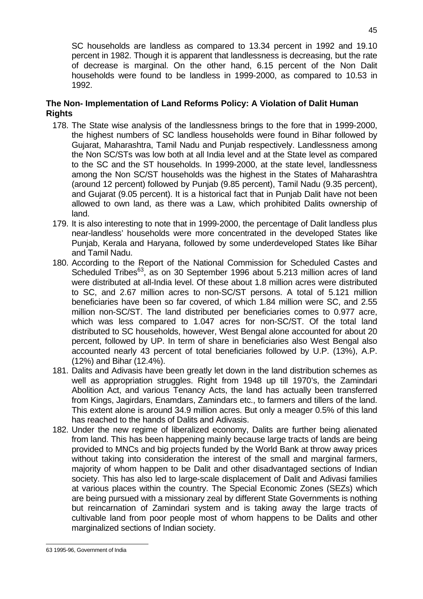SC households are landless as compared to 13.34 percent in 1992 and 19.10 percent in 1982. Though it is apparent that landlessness is decreasing, but the rate of decrease is marginal. On the other hand, 6.15 percent of the Non Dalit households were found to be landless in 1999-2000, as compared to 10.53 in 1992.

## **The Non- Implementation of Land Reforms Policy: A Violation of Dalit Human Rights**

- 178. The State wise analysis of the landlessness brings to the fore that in 1999-2000, the highest numbers of SC landless households were found in Bihar followed by Gujarat, Maharashtra, Tamil Nadu and Punjab respectively. Landlessness among the Non SC/STs was low both at all India level and at the State level as compared to the SC and the ST households. In 1999-2000, at the state level, landlessness among the Non SC/ST households was the highest in the States of Maharashtra (around 12 percent) followed by Punjab (9.85 percent), Tamil Nadu (9.35 percent), and Gujarat (9.05 percent). It is a historical fact that in Punjab Dalit have not been allowed to own land, as there was a Law, which prohibited Dalits ownership of land.
- 179. It is also interesting to note that in 1999-2000, the percentage of Dalit landless plus near-landless' households were more concentrated in the developed States like Punjab, Kerala and Haryana, followed by some underdeveloped States like Bihar and Tamil Nadu.
- 180. According to the Report of the National Commission for Scheduled Castes and Scheduled Tribes<sup>63</sup>, as on 30 September 1996 about 5.213 million acres of land were distributed at all-India level. Of these about 1.8 million acres were distributed to SC, and 2.67 million acres to non-SC/ST persons. A total of 5.121 million beneficiaries have been so far covered, of which 1.84 million were SC, and 2.55 million non-SC/ST. The land distributed per beneficiaries comes to 0.977 acre, which was less compared to 1.047 acres for non-SC/ST. Of the total land distributed to SC households, however, West Bengal alone accounted for about 20 percent, followed by UP. In term of share in beneficiaries also West Bengal also accounted nearly 43 percent of total beneficiaries followed by U.P. (13%), A.P. (12%) and Bihar (12.4%).
- 181. Dalits and Adivasis have been greatly let down in the land distribution schemes as well as appropriation struggles. Right from 1948 up till 1970's, the Zamindari Abolition Act, and various Tenancy Acts, the land has actually been transferred from Kings, Jagirdars, Enamdars, Zamindars etc., to farmers and tillers of the land. This extent alone is around 34.9 million acres. But only a meager 0.5% of this land has reached to the hands of Dalits and Adivasis.
- 182. Under the new regime of liberalized economy, Dalits are further being alienated from land. This has been happening mainly because large tracts of lands are being provided to MNCs and big projects funded by the World Bank at throw away prices without taking into consideration the interest of the small and marginal farmers, majority of whom happen to be Dalit and other disadvantaged sections of Indian society. This has also led to large-scale displacement of Dalit and Adivasi families at various places within the country. The Special Economic Zones (SEZs) which are being pursued with a missionary zeal by different State Governments is nothing but reincarnation of Zamindari system and is taking away the large tracts of cultivable land from poor people most of whom happens to be Dalits and other marginalized sections of Indian society.

 63 1995-96, Government of India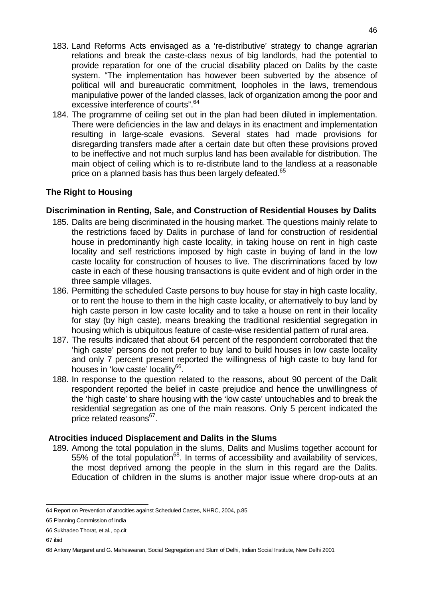- 183. Land Reforms Acts envisaged as a 're-distributive' strategy to change agrarian relations and break the caste-class nexus of big landlords, had the potential to provide reparation for one of the crucial disability placed on Dalits by the caste system. "The implementation has however been subverted by the absence of political will and bureaucratic commitment, loopholes in the laws, tremendous manipulative power of the landed classes, lack of organization among the poor and excessive interference of courts".<sup>64</sup>
- 184. The programme of ceiling set out in the plan had been diluted in implementation. There were deficiencies in the law and delays in its enactment and implementation resulting in large-scale evasions. Several states had made provisions for disregarding transfers made after a certain date but often these provisions proved to be ineffective and not much surplus land has been available for distribution. The main object of ceiling which is to re-distribute land to the landless at a reasonable price on a planned basis has thus been largely defeated.<sup>65</sup>

## **The Right to Housing**

## **Discrimination in Renting, Sale, and Construction of Residential Houses by Dalits**

- 185. Dalits are being discriminated in the housing market. The questions mainly relate to the restrictions faced by Dalits in purchase of land for construction of residential house in predominantly high caste locality, in taking house on rent in high caste locality and self restrictions imposed by high caste in buying of land in the low caste locality for construction of houses to live. The discriminations faced by low caste in each of these housing transactions is quite evident and of high order in the three sample villages.
- 186. Permitting the scheduled Caste persons to buy house for stay in high caste locality, or to rent the house to them in the high caste locality, or alternatively to buy land by high caste person in low caste locality and to take a house on rent in their locality for stay (by high caste), means breaking the traditional residential segregation in housing which is ubiquitous feature of caste-wise residential pattern of rural area.
- 187. The results indicated that about 64 percent of the respondent corroborated that the 'high caste' persons do not prefer to buy land to build houses in low caste locality and only 7 percent present reported the willingness of high caste to buy land for houses in 'low caste' locality<sup>66</sup>.
- 188. In response to the question related to the reasons, about 90 percent of the Dalit respondent reported the belief in caste prejudice and hence the unwillingness of the 'high caste' to share housing with the 'low caste' untouchables and to break the residential segregation as one of the main reasons. Only 5 percent indicated the price related reasons<sup>67</sup>.

## **Atrocities induced Displacement and Dalits in the Slums**

189. Among the total population in the slums, Dalits and Muslims together account for  $55\%$  of the total population<sup>68</sup>. In terms of accessibility and availability of services, the most deprived among the people in the slum in this regard are the Dalits. Education of children in the slums is another major issue where drop-outs at an

 64 Report on Prevention of atrocities against Scheduled Castes, NHRC, 2004, p.85

<sup>65</sup> Planning Commission of India

<sup>66</sup> Sukhadeo Thorat, et.al., op.cit

<sup>67</sup> ibid

<sup>68</sup> Antony Margaret and G. Maheswaran, Social Segregation and Slum of Delhi, Indian Social Institute, New Delhi 2001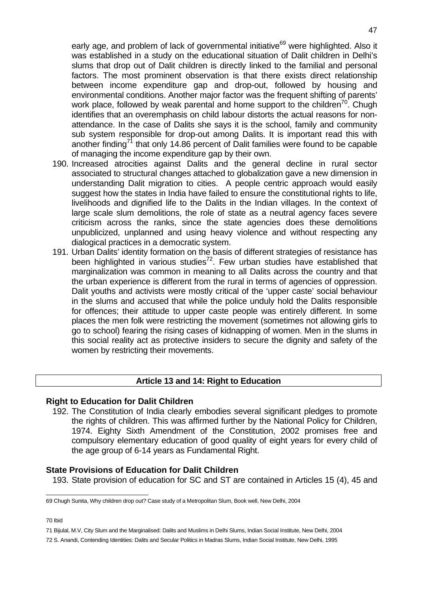early age, and problem of lack of governmental initiative<sup>69</sup> were highlighted. Also it was established in a study on the educational situation of Dalit children in Delhi's slums that drop out of Dalit children is directly linked to the familial and personal factors. The most prominent observation is that there exists direct relationship between income expenditure gap and drop-out, followed by housing and environmental conditions. Another major factor was the frequent shifting of parents' work place, followed by weak parental and home support to the children<sup>70</sup>. Chugh identifies that an overemphasis on child labour distorts the actual reasons for nonattendance. In the case of Dalits she says it is the school, family and community sub system responsible for drop-out among Dalits. It is important read this with another finding<sup>71</sup> that only 14.86 percent of Dalit families were found to be capable of managing the income expenditure gap by their own.

- 190. Increased atrocities against Dalits and the general decline in rural sector associated to structural changes attached to globalization gave a new dimension in understanding Dalit migration to cities. A people centric approach would easily suggest how the states in India have failed to ensure the constitutional rights to life, livelihoods and dignified life to the Dalits in the Indian villages. In the context of large scale slum demolitions, the role of state as a neutral agency faces severe criticism across the ranks, since the state agencies does these demolitions unpublicized, unplanned and using heavy violence and without respecting any dialogical practices in a democratic system.
- 191. Urban Dalits' identity formation on the basis of different strategies of resistance has been highlighted in various studies<sup>72</sup>. Few urban studies have established that marginalization was common in meaning to all Dalits across the country and that the urban experience is different from the rural in terms of agencies of oppression. Dalit youths and activists were mostly critical of the 'upper caste' social behaviour in the slums and accused that while the police unduly hold the Dalits responsible for offences; their attitude to upper caste people was entirely different. In some places the men folk were restricting the movement (sometimes not allowing girls to go to school) fearing the rising cases of kidnapping of women. Men in the slums in this social reality act as protective insiders to secure the dignity and safety of the women by restricting their movements.

## **Article 13 and 14: Right to Education**

#### **Right to Education for Dalit Children**

192. The Constitution of India clearly embodies several significant pledges to promote the rights of children. This was affirmed further by the National Policy for Children, 1974. Eighty Sixth Amendment of the Constitution, 2002 promises free and compulsory elementary education of good quality of eight years for every child of the age group of 6-14 years as Fundamental Right.

#### **State Provisions of Education for Dalit Children**

193. State provision of education for SC and ST are contained in Articles 15 (4), 45 and

70 Ibid

 69 Chugh Sunita, Why children drop out? Case study of a Metropolitan Slum, Book well, New Delhi, 2004

<sup>71</sup> Bijulal, M.V, City Slum and the Marginalised: Dalits and Muslims in Delhi Slums, Indian Social Institute, New Delhi, 2004

<sup>72</sup> S. Anandi, Contending Identities: Dalits and Secular Politics in Madras Slums, Indian Social Institute, New Delhi, 1995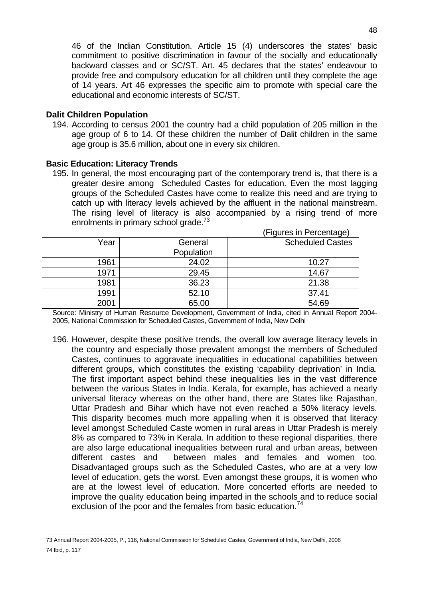46 of the Indian Constitution. Article 15 (4) underscores the states' basic commitment to positive discrimination in favour of the socially and educationally backward classes and or SC/ST. Art. 45 declares that the states' endeavour to provide free and compulsory education for all children until they complete the age of 14 years. Art 46 expresses the specific aim to promote with special care the educational and economic interests of SC/ST.

#### **Dalit Children Population**

194. According to census 2001 the country had a child population of 205 million in the age group of 6 to 14. Of these children the number of Dalit children in the same age group is 35.6 million, about one in every six children.

#### **Basic Education: Literacy Trends**

195. In general, the most encouraging part of the contemporary trend is, that there is a greater desire among Scheduled Castes for education. Even the most lagging groups of the Scheduled Castes have come to realize this need and are trying to catch up with literacy levels achieved by the affluent in the national mainstream. The rising level of literacy is also accompanied by a rising trend of more enrolments in primary school grade.<sup>73</sup> (Figures in Percentage)

| Year | General    | <b>Scheduled Castes</b> |
|------|------------|-------------------------|
|      | Population |                         |
| 1961 | 24.02      | 10.27                   |
| 1971 | 29.45      | 14.67                   |
| 1981 | 36.23      | 21.38                   |
| 1991 | 52.10      | 37.41                   |
| 2001 | 65.00      | 54.69                   |

Source: Ministry of Human Resource Development, Government of India, cited in Annual Report 2004- 2005, National Commission for Scheduled Castes, Government of India, New Delhi

196. However, despite these positive trends, the overall low average literacy levels in the country and especially those prevalent amongst the members of Scheduled Castes, continues to aggravate inequalities in educational capabilities between different groups, which constitutes the existing 'capability deprivation' in India. The first important aspect behind these inequalities lies in the vast difference between the various States in India. Kerala, for example, has achieved a nearly universal literacy whereas on the other hand, there are States like Rajasthan, Uttar Pradesh and Bihar which have not even reached a 50% literacy levels. This disparity becomes much more appalling when it is observed that literacy level amongst Scheduled Caste women in rural areas in Uttar Pradesh is merely 8% as compared to 73% in Kerala. In addition to these regional disparities, there are also large educational inequalities between rural and urban areas, between different castes and between males and females and women too. Disadvantaged groups such as the Scheduled Castes, who are at a very low level of education, gets the worst. Even amongst these groups, it is women who are at the lowest level of education. More concerted efforts are needed to improve the quality education being imparted in the schools and to reduce social exclusion of the poor and the females from basic education. $74$ 

 73 Annual Report 2004-2005, P., 116, National Commission for Scheduled Castes, Government of India, New Delhi, 2006 74 Ibid, p. 117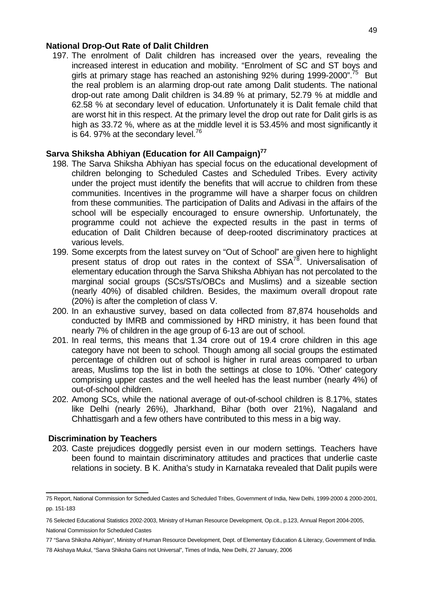#### **National Drop-Out Rate of Dalit Children**

197. The enrolment of Dalit children has increased over the years, revealing the increased interest in education and mobility. "Enrolment of SC and ST boys and girls at primary stage has reached an astonishing 92% during 1999-2000".<sup>75</sup> But the real problem is an alarming drop-out rate among Dalit students. The national drop-out rate among Dalit children is 34.89 % at primary, 52.79 % at middle and 62.58 % at secondary level of education. Unfortunately it is Dalit female child that are worst hit in this respect. At the primary level the drop out rate for Dalit girls is as high as 33.72 %, where as at the middle level it is 53.45% and most significantly it is 64. 97% at the secondary level. $^{76}$ 

## **Sarva Shiksha Abhiyan (Education for All Campaign)<sup>77</sup>**

- 198. The Sarva Shiksha Abhiyan has special focus on the educational development of children belonging to Scheduled Castes and Scheduled Tribes. Every activity under the project must identify the benefits that will accrue to children from these communities. Incentives in the programme will have a sharper focus on children from these communities. The participation of Dalits and Adivasi in the affairs of the school will be especially encouraged to ensure ownership. Unfortunately, the programme could not achieve the expected results in the past in terms of education of Dalit Children because of deep-rooted discriminatory practices at various levels.
- 199. Some excerpts from the latest survey on "Out of School" are given here to highlight present status of drop out rates in the context of  $SSA^{78}$ . Universalisation of elementary education through the Sarva Shiksha Abhiyan has not percolated to the marginal social groups (SCs/STs/OBCs and Muslims) and a sizeable section (nearly 40%) of disabled children. Besides, the maximum overall dropout rate (20%) is after the completion of class V.
- 200. In an exhaustive survey, based on data collected from 87,874 households and conducted by IMRB and commissioned by HRD ministry, it has been found that nearly 7% of children in the age group of 6-13 are out of school.
- 201. In real terms, this means that 1.34 crore out of 19.4 crore children in this age category have not been to school. Though among all social groups the estimated percentage of children out of school is higher in rural areas compared to urban areas, Muslims top the list in both the settings at close to 10%. 'Other' category comprising upper castes and the well heeled has the least number (nearly 4%) of out-of-school children.
- 202. Among SCs, while the national average of out-of-school children is 8.17%, states like Delhi (nearly 26%), Jharkhand, Bihar (both over 21%), Nagaland and Chhattisgarh and a few others have contributed to this mess in a big way.

#### **Discrimination by Teachers**

203. Caste prejudices doggedly persist even in our modern settings. Teachers have been found to maintain discriminatory attitudes and practices that underlie caste relations in society. B K. Anitha's study in Karnataka revealed that Dalit pupils were

 75 Report, National Commission for Scheduled Castes and Scheduled Tribes, Government of India, New Delhi, 1999-2000 & 2000-2001, pp. 151-183

<sup>76</sup> Selected Educational Statistics 2002-2003, Ministry of Human Resource Development, Op.cit., p.123, Annual Report 2004-2005, National Commission for Scheduled Castes

<sup>77 &</sup>quot;Sarva Shiksha Abhiyan", Ministry of Human Resource Development, Dept. of Elementary Education & Literacy, Government of India.

<sup>78</sup> Akshaya Mukul, "Sarva Shiksha Gains not Universal", Times of India, New Delhi, 27 January, 2006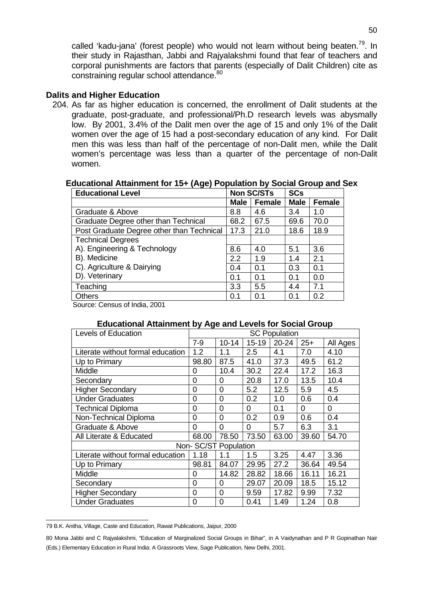called 'kadu-jana' (forest people) who would not learn without being beaten.<sup>79</sup>. In their study in Rajasthan, Jabbi and Rajyalakshmi found that fear of teachers and corporal punishments are factors that parents (especially of Dalit Children) cite as constraining regular school attendance.<sup>80</sup>

#### **Dalits and Higher Education**

204. As far as higher education is concerned, the enrollment of Dalit students at the graduate, post-graduate, and professional/Ph.D research levels was abysmally low. By 2001, 3.4% of the Dalit men over the age of 15 and only 1% of the Dalit women over the age of 15 had a post-secondary education of any kind. For Dalit men this was less than half of the percentage of non-Dalit men, while the Dalit women's percentage was less than a quarter of the percentage of non-Dalit women.

#### **Educational Attainment for 15+ (Age) Population by Social Group and Sex**

| <b>Educational Level</b>                  | <b>Non SC/STs</b> |               | <b>SCs</b>  |               |
|-------------------------------------------|-------------------|---------------|-------------|---------------|
|                                           | <b>Male</b>       | <b>Female</b> | <b>Male</b> | <b>Female</b> |
| Graduate & Above                          | 8.8               | 4.6           | 3.4         | 1.0           |
| Graduate Degree other than Technical      | 68.2              | 67.5          | 69.6        | 70.0          |
| Post Graduate Degree other than Technical | 17.3              | 21.0          | 18.6        | 18.9          |
| <b>Technical Degrees</b>                  |                   |               |             |               |
| A). Engineering & Technology              | 8.6               | 4.0           | 5.1         | 3.6           |
| B). Medicine                              | 2.2               | 1.9           | 1.4         | 2.1           |
| C). Agriculture & Dairying                | 0.4               | 0.1           | 0.3         | 0.1           |
| D). Veterinary                            | 0.1               | 0.1           | 0.1         | 0.0           |
| Teaching                                  | 3.3               | 5.5           | 4.4         | 7.1           |
| <b>Others</b>                             | 0.1               | 0.1           | 0.1         | 0.2           |

Source: Census of India, 2001

#### **Educational Attainment by Age and Levels for Social Group**

| <b>Levels of Education</b>        | <b>SC Population</b> |                      |           |           |       |          |
|-----------------------------------|----------------------|----------------------|-----------|-----------|-------|----------|
|                                   | $7 - 9$              | $10 - 14$            | $15 - 19$ | $20 - 24$ | $25+$ | All Ages |
| Literate without formal education | 1.2                  | 1.1                  | 2.5       | 4.1       | 7.0   | 4.10     |
| Up to Primary                     | 98.80                | 87.5                 | 41.0      | 37.3      | 49.5  | 61.2     |
| Middle                            | 0                    | 10.4                 | 30.2      | 22.4      | 17.2  | 16.3     |
| Secondary                         | $\overline{0}$       | 0                    | 20.8      | 17.0      | 13.5  | 10.4     |
| <b>Higher Secondary</b>           | 0                    | 0                    | 5.2       | 12.5      | 5.9   | 4.5      |
| <b>Under Graduates</b>            | 0                    | 0                    | 0.2       | 1.0       | 0.6   | 0.4      |
| <b>Technical Diploma</b>          | 0                    | 0                    | 0         | 0.1       | 0     | 0        |
| Non-Technical Diploma             | 0                    | 0                    | 0.2       | 0.9       | 0.6   | 0.4      |
| Graduate & Above                  | 0                    | $\Omega$             | 0         | 5.7       | 6.3   | 3.1      |
| All Literate & Educated           | 68.00                | 78.50                | 73.50     | 63.00     | 39.60 | 54.70    |
|                                   |                      | Non-SC/ST Population |           |           |       |          |
| Literate without formal education | 1.18                 | 1.1                  | 1.5       | 3.25      | 4.47  | 3.36     |
| Up to Primary                     | 98.81                | 84.07                | 29.95     | 27.2      | 36.64 | 49.54    |
| Middle                            | 0                    | 14.82                | 28.82     | 18.66     | 16.11 | 16.21    |
| Secondary                         | 0                    | 0                    | 29.07     | 20.09     | 18.5  | 15.12    |
| <b>Higher Secondary</b>           | 0                    | 0                    | 9.59      | 17.82     | 9.99  | 7.32     |
| <b>Under Graduates</b>            | 0                    | $\Omega$             | 0.41      | 1.49      | 1.24  | 0.8      |

 79 B.K. Anitha, Village, Caste and Education, Rawat Publications, Jaipur, 2000

<sup>80</sup> Mona Jabbi and C Rajyalakshmi, "Education of Marginalized Social Groups in Bihar", in A Vaidynathan and P R Gopinathan Nair (Eds.) Elementary Education in Rural India: A Grassroots View, Sage Publication, New Delhi, 2001.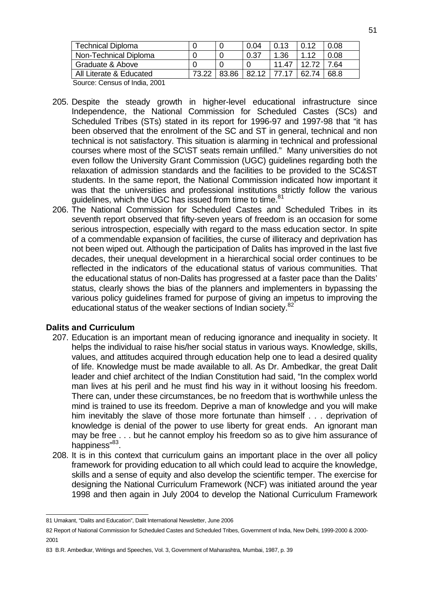| <b>Technical Diploma</b>     |       |       | 0.04  | 0.13  | 0.12  | 0.08 |
|------------------------------|-------|-------|-------|-------|-------|------|
| Non-Technical Diploma        |       |       | 0.37  | 1.36  | 112   | 0.08 |
| Graduate & Above             |       |       |       | 11.47 | 12.72 | 7.64 |
| All Literate & Educated      | 73 22 | 83.86 | 82.12 | 77.17 | 62.74 | 68.8 |
| Course Consus of lasts, 0004 |       |       |       |       |       |      |

Source: Census of India, 2001

- 205. Despite the steady growth in higher-level educational infrastructure since Independence, the National Commission for Scheduled Castes (SCs) and Scheduled Tribes (STs) stated in its report for 1996-97 and 1997-98 that "it has been observed that the enrolment of the SC and ST in general, technical and non technical is not satisfactory. This situation is alarming in technical and professional courses where most of the SC\ST seats remain unfilled." Many universities do not even follow the University Grant Commission (UGC) guidelines regarding both the relaxation of admission standards and the facilities to be provided to the SC&ST students. In the same report, the National Commission indicated how important it was that the universities and professional institutions strictly follow the various guidelines, which the UGC has issued from time to time.<sup>81</sup>
- 206. The National Commission for Scheduled Castes and Scheduled Tribes in its seventh report observed that fifty-seven years of freedom is an occasion for some serious introspection, especially with regard to the mass education sector. In spite of a commendable expansion of facilities, the curse of illiteracy and deprivation has not been wiped out. Although the participation of Dalits has improved in the last five decades, their unequal development in a hierarchical social order continues to be reflected in the indicators of the educational status of various communities. That the educational status of non-Dalits has progressed at a faster pace than the Dalits' status, clearly shows the bias of the planners and implementers in bypassing the various policy guidelines framed for purpose of giving an impetus to improving the educational status of the weaker sections of Indian society.<sup>82</sup>

## **Dalits and Curriculum**

- 207. Education is an important mean of reducing ignorance and inequality in society. It helps the individual to raise his/her social status in various ways. Knowledge, skills, values, and attitudes acquired through education help one to lead a desired quality of life. Knowledge must be made available to all. As Dr. Ambedkar, the great Dalit leader and chief architect of the Indian Constitution had said, "In the complex world man lives at his peril and he must find his way in it without loosing his freedom. There can, under these circumstances, be no freedom that is worthwhile unless the mind is trained to use its freedom. Deprive a man of knowledge and you will make him inevitably the slave of those more fortunate than himself . . . deprivation of knowledge is denial of the power to use liberty for great ends. An ignorant man may be free . . . but he cannot employ his freedom so as to give him assurance of happiness"<sup>83</sup>.
- 208. It is in this context that curriculum gains an important place in the over all policy framework for providing education to all which could lead to acquire the knowledge, skills and a sense of equity and also develop the scientific temper. The exercise for designing the National Curriculum Framework (NCF) was initiated around the year 1998 and then again in July 2004 to develop the National Curriculum Framework

 81 Umakant, "Dalits and Education", Dalit International Newsletter, June 2006

<sup>82</sup> Report of National Commission for Scheduled Castes and Scheduled Tribes, Government of India, New Delhi, 1999-2000 & 2000- 2001

<sup>83</sup> B.R. Ambedkar, Writings and Speeches, Vol. 3, Government of Maharashtra, Mumbai, 1987, p. 39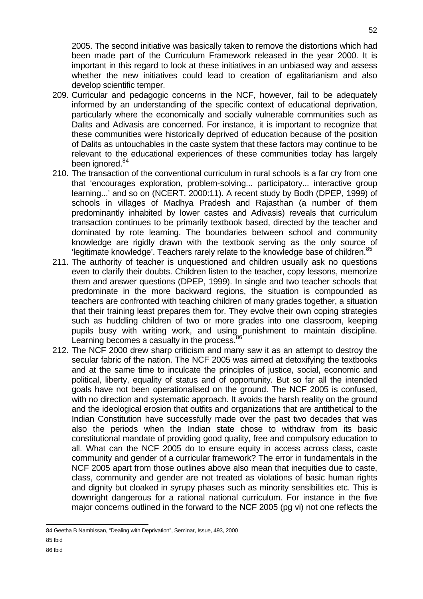2005. The second initiative was basically taken to remove the distortions which had been made part of the Curriculum Framework released in the year 2000. It is important in this regard to look at these initiatives in an unbiased way and assess whether the new initiatives could lead to creation of egalitarianism and also develop scientific temper.

- 209. Curricular and pedagogic concerns in the NCF, however, fail to be adequately informed by an understanding of the specific context of educational deprivation, particularly where the economically and socially vulnerable communities such as Dalits and Adivasis are concerned. For instance, it is important to recognize that these communities were historically deprived of education because of the position of Dalits as untouchables in the caste system that these factors may continue to be relevant to the educational experiences of these communities today has largely been ignored.<sup>84</sup>
- 210. The transaction of the conventional curriculum in rural schools is a far cry from one that 'encourages exploration, problem-solving... participatory... interactive group learning...' and so on (NCERT, 2000:11). A recent study by Bodh (DPEP, 1999) of schools in villages of Madhya Pradesh and Rajasthan (a number of them predominantly inhabited by lower castes and Adivasis) reveals that curriculum transaction continues to be primarily textbook based, directed by the teacher and dominated by rote learning. The boundaries between school and community knowledge are rigidly drawn with the textbook serving as the only source of 'legitimate knowledge'. Teachers rarely relate to the knowledge base of children.<sup>85</sup>
- 211. The authority of teacher is unquestioned and children usually ask no questions even to clarify their doubts. Children listen to the teacher, copy lessons, memorize them and answer questions (DPEP, 1999). In single and two teacher schools that predominate in the more backward regions, the situation is compounded as teachers are confronted with teaching children of many grades together, a situation that their training least prepares them for. They evolve their own coping strategies such as huddling children of two or more grades into one classroom, keeping pupils busy with writing work, and using punishment to maintain discipline. Learning becomes a casualty in the process. $\frac{8}{3}$
- 212. The NCF 2000 drew sharp criticism and many saw it as an attempt to destroy the secular fabric of the nation. The NCF 2005 was aimed at detoxifying the textbooks and at the same time to inculcate the principles of justice, social, economic and political, liberty, equality of status and of opportunity. But so far all the intended goals have not been operationalised on the ground. The NCF 2005 is confused, with no direction and systematic approach. It avoids the harsh reality on the ground and the ideological erosion that outfits and organizations that are antithetical to the Indian Constitution have successfully made over the past two decades that was also the periods when the Indian state chose to withdraw from its basic constitutional mandate of providing good quality, free and compulsory education to all. What can the NCF 2005 do to ensure equity in access across class, caste community and gender of a curricular framework? The error in fundamentals in the NCF 2005 apart from those outlines above also mean that inequities due to caste, class, community and gender are not treated as violations of basic human rights and dignity but cloaked in syrupy phases such as minority sensibilities etc. This is downright dangerous for a rational national curriculum. For instance in the five major concerns outlined in the forward to the NCF 2005 (pg vi) not one reflects the

 84 Geetha B Nambissan, "Dealing with Deprivation", Seminar, Issue, 493, 2000 85 Ibid 86 Ibid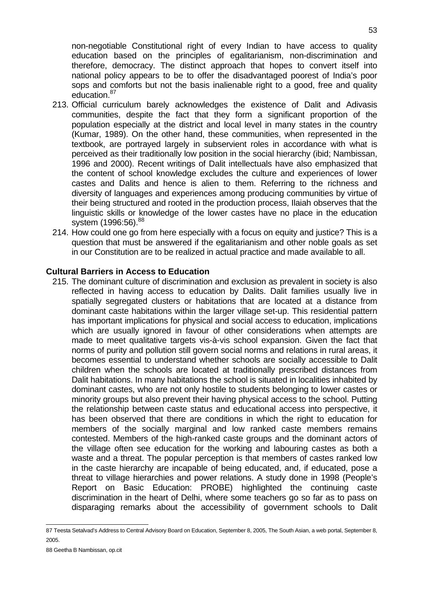non-negotiable Constitutional right of every Indian to have access to quality education based on the principles of egalitarianism, non-discrimination and therefore, democracy. The distinct approach that hopes to convert itself into national policy appears to be to offer the disadvantaged poorest of India's poor sops and comforts but not the basis inalienable right to a good, free and quality education.<sup>87</sup>

- 213. Official curriculum barely acknowledges the existence of Dalit and Adivasis communities, despite the fact that they form a significant proportion of the population especially at the district and local level in many states in the country (Kumar, 1989). On the other hand, these communities, when represented in the textbook, are portrayed largely in subservient roles in accordance with what is perceived as their traditionally low position in the social hierarchy (ibid; Nambissan, 1996 and 2000). Recent writings of Dalit intellectuals have also emphasized that the content of school knowledge excludes the culture and experiences of lower castes and Dalits and hence is alien to them. Referring to the richness and diversity of languages and experiences among producing communities by virtue of their being structured and rooted in the production process, Ilaiah observes that the linguistic skills or knowledge of the lower castes have no place in the education system (1996:56). 88
- 214. How could one go from here especially with a focus on equity and justice? This is a question that must be answered if the egalitarianism and other noble goals as set in our Constitution are to be realized in actual practice and made available to all.

#### **Cultural Barriers in Access to Education**

215. The dominant culture of discrimination and exclusion as prevalent in society is also reflected in having access to education by Dalits. Dalit families usually live in spatially segregated clusters or habitations that are located at a distance from dominant caste habitations within the larger village set-up. This residential pattern has important implications for physical and social access to education, implications which are usually ignored in favour of other considerations when attempts are made to meet qualitative targets vis-à-vis school expansion. Given the fact that norms of purity and pollution still govern social norms and relations in rural areas, it becomes essential to understand whether schools are socially accessible to Dalit children when the schools are located at traditionally prescribed distances from Dalit habitations. In many habitations the school is situated in localities inhabited by dominant castes, who are not only hostile to students belonging to lower castes or minority groups but also prevent their having physical access to the school. Putting the relationship between caste status and educational access into perspective, it has been observed that there are conditions in which the right to education for members of the socially marginal and low ranked caste members remains contested. Members of the high-ranked caste groups and the dominant actors of the village often see education for the working and labouring castes as both a waste and a threat. The popular perception is that members of castes ranked low in the caste hierarchy are incapable of being educated, and, if educated, pose a threat to village hierarchies and power relations. A study done in 1998 (People's Report on Basic Education: PROBE) highlighted the continuing caste discrimination in the heart of Delhi, where some teachers go so far as to pass on disparaging remarks about the accessibility of government schools to Dalit

 87 Teesta Setalvad's Address to Central Advisory Board on Education, September 8, 2005, The South Asian, a web portal, September 8, 2005.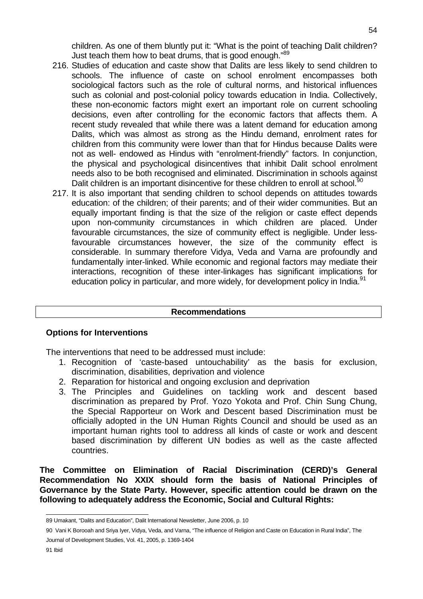children. As one of them bluntly put it: "What is the point of teaching Dalit children? Just teach them how to beat drums, that is good enough."<sup>89</sup>

- 216. Studies of education and caste show that Dalits are less likely to send children to schools. The influence of caste on school enrolment encompasses both sociological factors such as the role of cultural norms, and historical influences such as colonial and post-colonial policy towards education in India. Collectively, these non-economic factors might exert an important role on current schooling decisions, even after controlling for the economic factors that affects them. A recent study revealed that while there was a latent demand for education among Dalits, which was almost as strong as the Hindu demand, enrolment rates for children from this community were lower than that for Hindus because Dalits were not as well- endowed as Hindus with "enrolment-friendly" factors. In conjunction, the physical and psychological disincentives that inhibit Dalit school enrolment needs also to be both recognised and eliminated. Discrimination in schools against Dalit children is an important disincentive for these children to enroll at school.<sup>9</sup>
- 217. It is also important that sending children to school depends on attitudes towards education: of the children; of their parents; and of their wider communities. But an equally important finding is that the size of the religion or caste effect depends upon non-community circumstances in which children are placed. Under favourable circumstances, the size of community effect is negligible. Under lessfavourable circumstances however, the size of the community effect is considerable. In summary therefore Vidya, Veda and Varna are profoundly and fundamentally inter-linked. While economic and regional factors may mediate their interactions, recognition of these inter-linkages has significant implications for education policy in particular, and more widely, for development policy in India.<sup>91</sup>

#### **Recommendations**

## **Options for Interventions**

The interventions that need to be addressed must include:

- 1. Recognition of 'caste-based untouchability' as the basis for exclusion, discrimination, disabilities, deprivation and violence
- 2. Reparation for historical and ongoing exclusion and deprivation
- 3. The Principles and Guidelines on tackling work and descent based discrimination as prepared by Prof. Yozo Yokota and Prof. Chin Sung Chung, the Special Rapporteur on Work and Descent based Discrimination must be officially adopted in the UN Human Rights Council and should be used as an important human rights tool to address all kinds of caste or work and descent based discrimination by different UN bodies as well as the caste affected countries.

**The Committee on Elimination of Racial Discrimination (CERD)'s General Recommendation No XXIX should form the basis of National Principles of Governance by the State Party. However, specific attention could be drawn on the following to adequately address the Economic, Social and Cultural Rights:** 

 89 Umakant, "Dalits and Education", Dalit International Newsletter, June 2006, p. 10

<sup>90</sup> Vani K Borooah and Sriya Iyer, Vidya, Veda, and Varna, "The influence of Religion and Caste on Education in Rural India", The Journal of Development Studies, Vol. 41, 2005, p. 1369-1404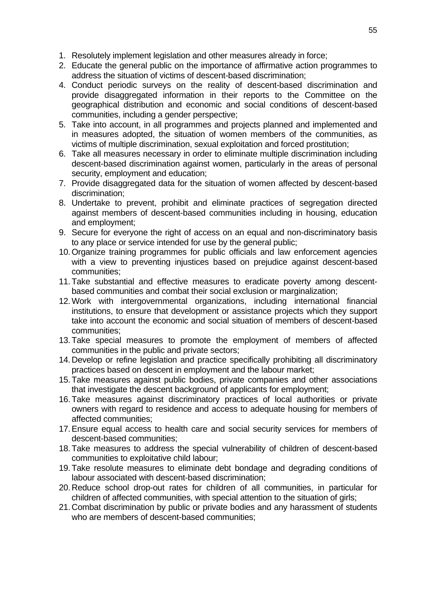- 1. Resolutely implement legislation and other measures already in force;
- 2. Educate the general public on the importance of affirmative action programmes to address the situation of victims of descent-based discrimination;
- 4. Conduct periodic surveys on the reality of descent-based discrimination and provide disaggregated information in their reports to the Committee on the geographical distribution and economic and social conditions of descent-based communities, including a gender perspective;
- 5. Take into account, in all programmes and projects planned and implemented and in measures adopted, the situation of women members of the communities, as victims of multiple discrimination, sexual exploitation and forced prostitution;
- 6. Take all measures necessary in order to eliminate multiple discrimination including descent-based discrimination against women, particularly in the areas of personal security, employment and education;
- 7. Provide disaggregated data for the situation of women affected by descent-based discrimination;
- 8. Undertake to prevent, prohibit and eliminate practices of segregation directed against members of descent-based communities including in housing, education and employment;
- 9. Secure for everyone the right of access on an equal and non-discriminatory basis to any place or service intended for use by the general public;
- 10. Organize training programmes for public officials and law enforcement agencies with a view to preventing injustices based on prejudice against descent-based communities;
- 11. Take substantial and effective measures to eradicate poverty among descentbased communities and combat their social exclusion or marginalization;
- 12. Work with intergovernmental organizations, including international financial institutions, to ensure that development or assistance projects which they support take into account the economic and social situation of members of descent-based communities;
- 13. Take special measures to promote the employment of members of affected communities in the public and private sectors;
- 14. Develop or refine legislation and practice specifically prohibiting all discriminatory practices based on descent in employment and the labour market;
- 15. Take measures against public bodies, private companies and other associations that investigate the descent background of applicants for employment;
- 16. Take measures against discriminatory practices of local authorities or private owners with regard to residence and access to adequate housing for members of affected communities;
- 17. Ensure equal access to health care and social security services for members of descent-based communities;
- 18. Take measures to address the special vulnerability of children of descent-based communities to exploitative child labour;
- 19. Take resolute measures to eliminate debt bondage and degrading conditions of labour associated with descent-based discrimination;
- 20. Reduce school drop-out rates for children of all communities, in particular for children of affected communities, with special attention to the situation of girls;
- 21. Combat discrimination by public or private bodies and any harassment of students who are members of descent-based communities;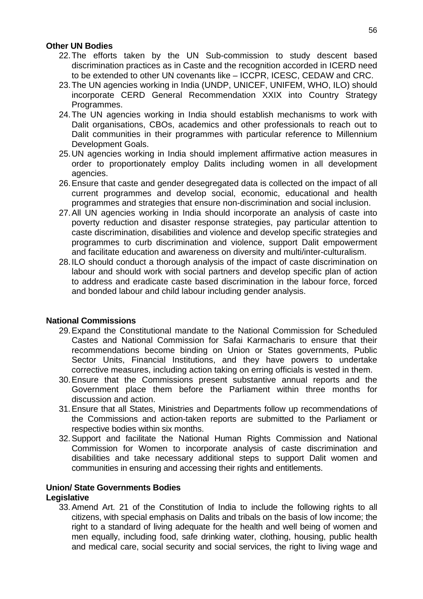#### **Other UN Bodies**

- 22. The efforts taken by the UN Sub-commission to study descent based discrimination practices as in Caste and the recognition accorded in ICERD need to be extended to other UN covenants like – ICCPR, ICESC, CEDAW and CRC.
- 23. The UN agencies working in India (UNDP, UNICEF, UNIFEM, WHO, ILO) should incorporate CERD General Recommendation XXIX into Country Strategy Programmes.
- 24. The UN agencies working in India should establish mechanisms to work with Dalit organisations, CBOs, academics and other professionals to reach out to Dalit communities in their programmes with particular reference to Millennium Development Goals.
- 25. UN agencies working in India should implement affirmative action measures in order to proportionately employ Dalits including women in all development agencies.
- 26. Ensure that caste and gender desegregated data is collected on the impact of all current programmes and develop social, economic, educational and health programmes and strategies that ensure non-discrimination and social inclusion.
- 27. All UN agencies working in India should incorporate an analysis of caste into poverty reduction and disaster response strategies, pay particular attention to caste discrimination, disabilities and violence and develop specific strategies and programmes to curb discrimination and violence, support Dalit empowerment and facilitate education and awareness on diversity and multi/inter-culturalism.
- 28. ILO should conduct a thorough analysis of the impact of caste discrimination on labour and should work with social partners and develop specific plan of action to address and eradicate caste based discrimination in the labour force, forced and bonded labour and child labour including gender analysis.

## **National Commissions**

- 29. Expand the Constitutional mandate to the National Commission for Scheduled Castes and National Commission for Safai Karmacharis to ensure that their recommendations become binding on Union or States governments, Public Sector Units, Financial Institutions, and they have powers to undertake corrective measures, including action taking on erring officials is vested in them.
- 30. Ensure that the Commissions present substantive annual reports and the Government place them before the Parliament within three months for discussion and action.
- 31. Ensure that all States, Ministries and Departments follow up recommendations of the Commissions and action-taken reports are submitted to the Parliament or respective bodies within six months.
- 32. Support and facilitate the National Human Rights Commission and National Commission for Women to incorporate analysis of caste discrimination and disabilities and take necessary additional steps to support Dalit women and communities in ensuring and accessing their rights and entitlements.

#### **Union/ State Governments Bodies Legislative**

33. Amend Art. 21 of the Constitution of India to include the following rights to all citizens, with special emphasis on Dalits and tribals on the basis of low income; the right to a standard of living adequate for the health and well being of women and men equally, including food, safe drinking water, clothing, housing, public health and medical care, social security and social services, the right to living wage and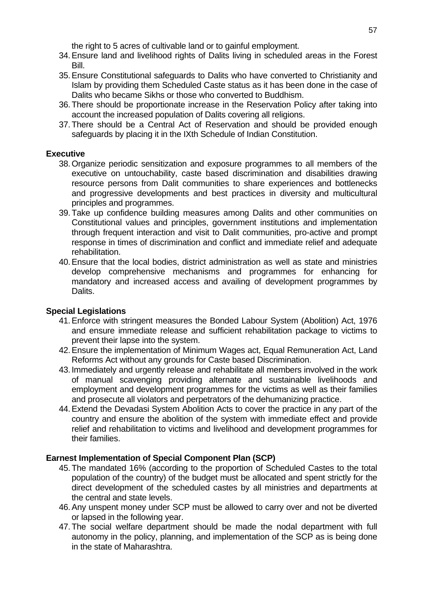the right to 5 acres of cultivable land or to gainful employment.

- 34. Ensure land and livelihood rights of Dalits living in scheduled areas in the Forest Bill.
- 35. Ensure Constitutional safeguards to Dalits who have converted to Christianity and Islam by providing them Scheduled Caste status as it has been done in the case of Dalits who became Sikhs or those who converted to Buddhism.
- 36. There should be proportionate increase in the Reservation Policy after taking into account the increased population of Dalits covering all religions.
- 37. There should be a Central Act of Reservation and should be provided enough safeguards by placing it in the IXth Schedule of Indian Constitution.

## **Executive**

- 38. Organize periodic sensitization and exposure programmes to all members of the executive on untouchability, caste based discrimination and disabilities drawing resource persons from Dalit communities to share experiences and bottlenecks and progressive developments and best practices in diversity and multicultural principles and programmes.
- 39. Take up confidence building measures among Dalits and other communities on Constitutional values and principles, government institutions and implementation through frequent interaction and visit to Dalit communities, pro-active and prompt response in times of discrimination and conflict and immediate relief and adequate rehabilitation.
- 40. Ensure that the local bodies, district administration as well as state and ministries develop comprehensive mechanisms and programmes for enhancing for mandatory and increased access and availing of development programmes by Dalits.

## **Special Legislations**

- 41. Enforce with stringent measures the Bonded Labour System (Abolition) Act, 1976 and ensure immediate release and sufficient rehabilitation package to victims to prevent their lapse into the system.
- 42. Ensure the implementation of Minimum Wages act, Equal Remuneration Act, Land Reforms Act without any grounds for Caste based Discrimination.
- 43. Immediately and urgently release and rehabilitate all members involved in the work of manual scavenging providing alternate and sustainable livelihoods and employment and development programmes for the victims as well as their families and prosecute all violators and perpetrators of the dehumanizing practice.
- 44. Extend the Devadasi System Abolition Acts to cover the practice in any part of the country and ensure the abolition of the system with immediate effect and provide relief and rehabilitation to victims and livelihood and development programmes for their families.

## **Earnest Implementation of Special Component Plan (SCP)**

- 45. The mandated 16% (according to the proportion of Scheduled Castes to the total population of the country) of the budget must be allocated and spent strictly for the direct development of the scheduled castes by all ministries and departments at the central and state levels.
- 46. Any unspent money under SCP must be allowed to carry over and not be diverted or lapsed in the following year.
- 47. The social welfare department should be made the nodal department with full autonomy in the policy, planning, and implementation of the SCP as is being done in the state of Maharashtra.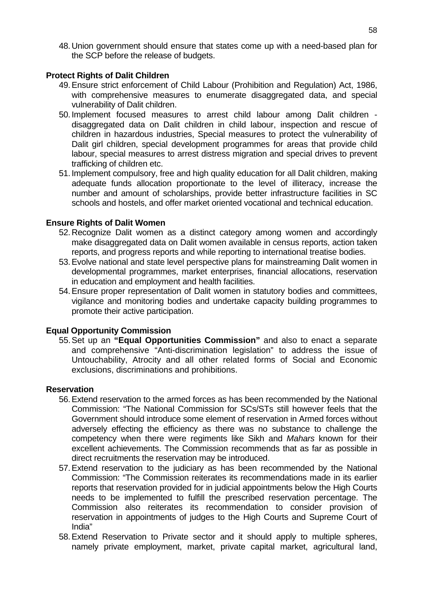48. Union government should ensure that states come up with a need-based plan for the SCP before the release of budgets.

## **Protect Rights of Dalit Children**

- 49. Ensure strict enforcement of Child Labour (Prohibition and Regulation) Act, 1986, with comprehensive measures to enumerate disaggregated data, and special vulnerability of Dalit children.
- 50. Implement focused measures to arrest child labour among Dalit children disaggregated data on Dalit children in child labour, inspection and rescue of children in hazardous industries, Special measures to protect the vulnerability of Dalit girl children, special development programmes for areas that provide child labour, special measures to arrest distress migration and special drives to prevent trafficking of children etc.
- 51. Implement compulsory, free and high quality education for all Dalit children, making adequate funds allocation proportionate to the level of illiteracy, increase the number and amount of scholarships, provide better infrastructure facilities in SC schools and hostels, and offer market oriented vocational and technical education.

## **Ensure Rights of Dalit Women**

- 52. Recognize Dalit women as a distinct category among women and accordingly make disaggregated data on Dalit women available in census reports, action taken reports, and progress reports and while reporting to international treatise bodies.
- 53. Evolve national and state level perspective plans for mainstreaming Dalit women in developmental programmes, market enterprises, financial allocations, reservation in education and employment and health facilities.
- 54. Ensure proper representation of Dalit women in statutory bodies and committees, vigilance and monitoring bodies and undertake capacity building programmes to promote their active participation.

## **Equal Opportunity Commission**

55. Set up an **"Equal Opportunities Commission"** and also to enact a separate and comprehensive "Anti-discrimination legislation" to address the issue of Untouchability, Atrocity and all other related forms of Social and Economic exclusions, discriminations and prohibitions.

#### **Reservation**

- 56. Extend reservation to the armed forces as has been recommended by the National Commission: "The National Commission for SCs/STs still however feels that the Government should introduce some element of reservation in Armed forces without adversely effecting the efficiency as there was no substance to challenge the competency when there were regiments like Sikh and Mahars known for their excellent achievements. The Commission recommends that as far as possible in direct recruitments the reservation may be introduced.
- 57. Extend reservation to the judiciary as has been recommended by the National Commission: "The Commission reiterates its recommendations made in its earlier reports that reservation provided for in judicial appointments below the High Courts needs to be implemented to fulfill the prescribed reservation percentage. The Commission also reiterates its recommendation to consider provision of reservation in appointments of judges to the High Courts and Supreme Court of India"
- 58. Extend Reservation to Private sector and it should apply to multiple spheres, namely private employment, market, private capital market, agricultural land,